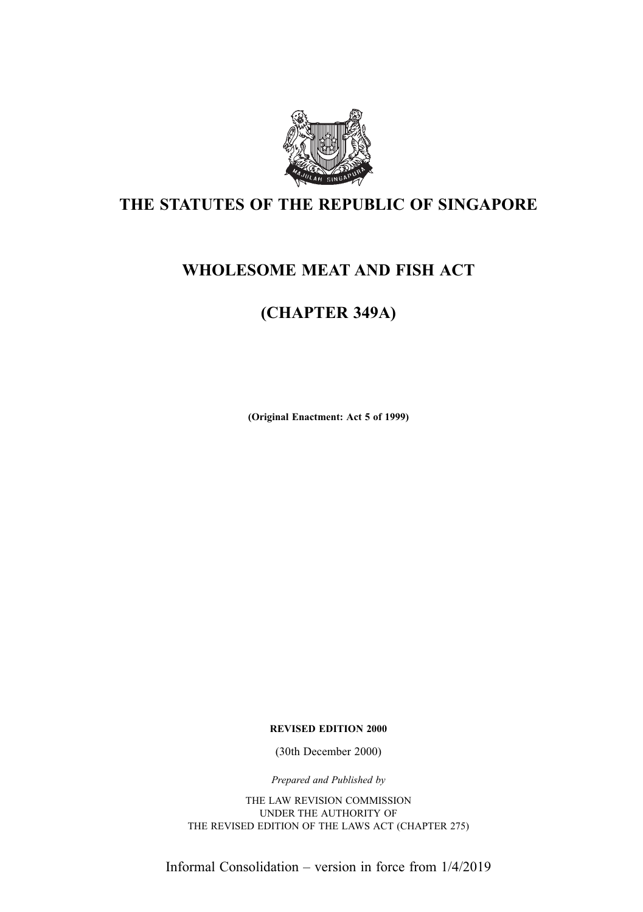

## THE STATUTES OF THE REPUBLIC OF SINGAPORE

## WHOLESOME MEAT AND FISH ACT

## (CHAPTER 349A)

(Original Enactment: Act 5 of 1999)

REVISED EDITION 2000

(30th December 2000)

Prepared and Published by

THE LAW REVISION COMMISSION UNDER THE AUTHORITY OF THE REVISED EDITION OF THE LAWS ACT (CHAPTER 275)

Informal Consolidation – version in force from 1/4/2019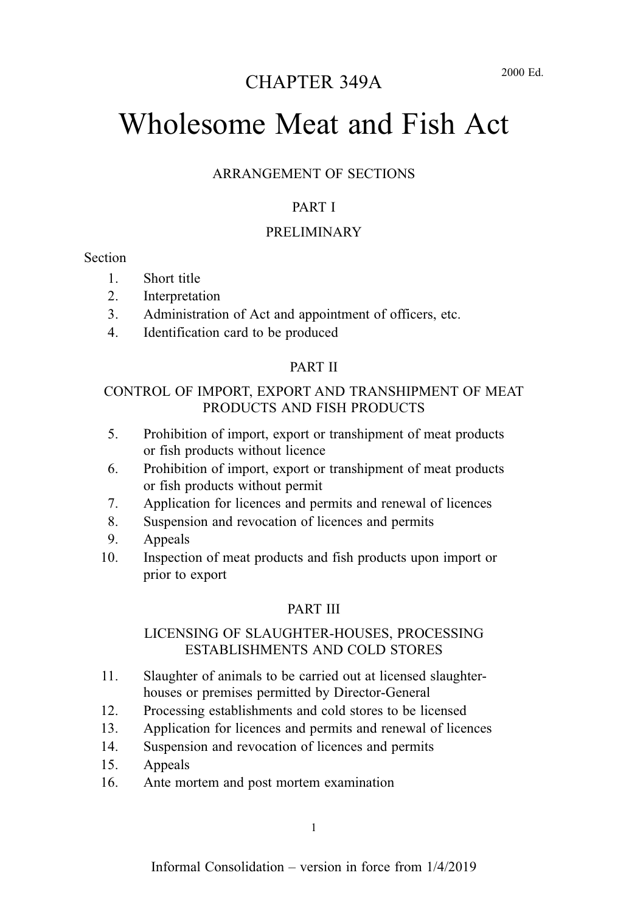## CHAPTER 349A

# Wholesome Meat and Fish Act

#### ARRANGEMENT OF SECTIONS

#### PART I

#### PRELIMINARY

#### **Section**

- 1. Short title
- 2. Interpretation
- 3. Administration of Act and appointment of officers, etc.
- 4. Identification card to be produced

#### PART II

#### CONTROL OF IMPORT, EXPORT AND TRANSHIPMENT OF MEAT PRODUCTS AND FISH PRODUCTS

- 5. Prohibition of import, export or transhipment of meat products or fish products without licence
- 6. Prohibition of import, export or transhipment of meat products or fish products without permit
- 7. Application for licences and permits and renewal of licences
- 8. Suspension and revocation of licences and permits
- 9. Appeals
- 10. Inspection of meat products and fish products upon import or prior to export

#### PART III

#### LICENSING OF SLAUGHTER-HOUSES, PROCESSING ESTABLISHMENTS AND COLD STORES

- 11. Slaughter of animals to be carried out at licensed slaughterhouses or premises permitted by Director-General
- 12. Processing establishments and cold stores to be licensed
- 13. Application for licences and permits and renewal of licences
- 14. Suspension and revocation of licences and permits
- 15. Appeals
- 16. Ante mortem and post mortem examination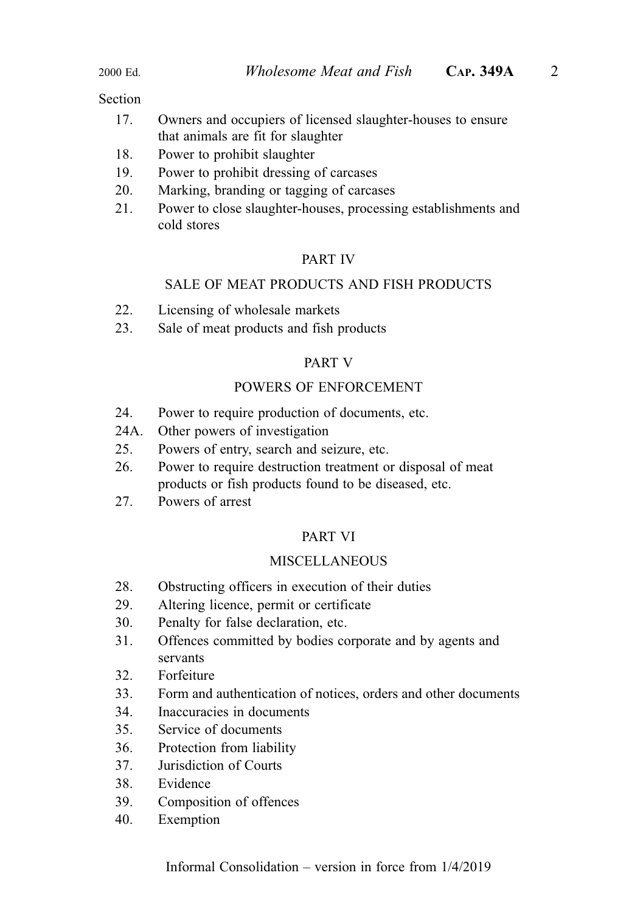#### Section

- 17. Owners and occupiers of licensed slaughter-houses to ensure that animals are fit for slaughter
- 18. Power to prohibit slaughter
- 19. Power to prohibit dressing of carcases
- 20. Marking, branding or tagging of carcases
- 21. Power to close slaughter-houses, processing establishments and cold stores

#### PART IV

#### SALE OF MEAT PRODUCTS AND FISH PRODUCTS

- 22. Licensing of wholesale markets
- 23. Sale of meat products and fish products

#### PART V

#### POWERS OF ENFORCEMENT

- 24. Power to require production of documents, etc.
- 24A. Other powers of investigation
- 25. Powers of entry, search and seizure, etc.
- 26. Power to require destruction treatment or disposal of meat products or fish products found to be diseased, etc.
- 27. Powers of arrest

#### PART VI

#### MISCELLANEOUS

- 28. Obstructing officers in execution of their duties
- 29. Altering licence, permit or certificate
- 30. Penalty for false declaration, etc.
- 31. Offences committed by bodies corporate and by agents and servants
- 32. Forfeiture
- 33. Form and authentication of notices, orders and other documents
- 34. Inaccuracies in documents
- 35. Service of documents
- 36. Protection from liability
- 37. Jurisdiction of Courts
- 38. Evidence
- 39. Composition of offences
- 40. Exemption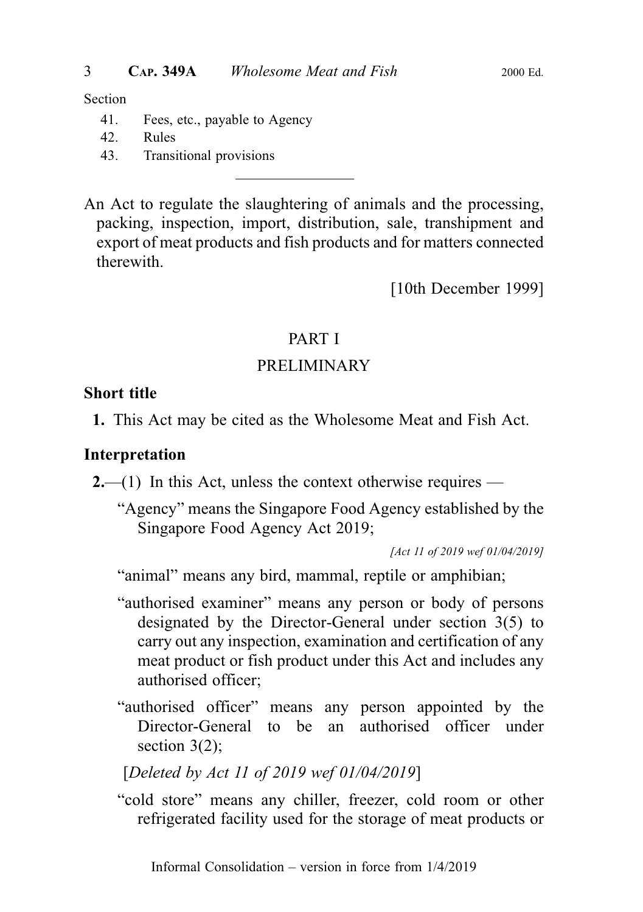#### Section

- 41. Fees, etc., payable to Agency
- 42. Rules
- 43. Transitional provisions

An Act to regulate the slaughtering of animals and the processing, packing, inspection, import, distribution, sale, transhipment and export of meat products and fish products and for matters connected therewith.

[10th December 1999]

## PART I

## PRELIMINARY

### Short title

1. This Act may be cited as the Wholesome Meat and Fish Act.

## Interpretation

**2.**—(1) In this Act, unless the context otherwise requires —

"Agency" means the Singapore Food Agency established by the Singapore Food Agency Act 2019;

[Act 11 of 2019 wef 01/04/2019]

"animal" means any bird, mammal, reptile or amphibian;

- "authorised examiner" means any person or body of persons designated by the Director-General under section 3(5) to carry out any inspection, examination and certification of any meat product or fish product under this Act and includes any authorised officer;
- "authorised officer" means any person appointed by the Director-General to be an authorised officer under section  $3(2)$ ;

## [Deleted by Act 11 of 2019 wef 01/04/2019]

"cold store" means any chiller, freezer, cold room or other refrigerated facility used for the storage of meat products or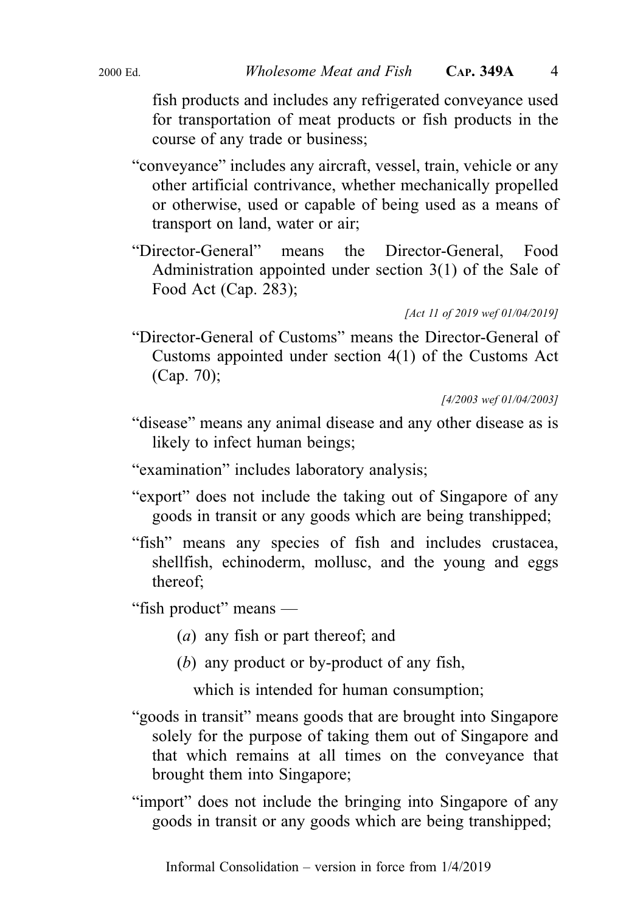fish products and includes any refrigerated conveyance used for transportation of meat products or fish products in the course of any trade or business;

- "conveyance" includes any aircraft, vessel, train, vehicle or any other artificial contrivance, whether mechanically propelled or otherwise, used or capable of being used as a means of transport on land, water or air;
- "Director-General" means the Director-General, Food Administration appointed under section 3(1) of the Sale of Food Act (Cap. 283);

[Act 11 of 2019 wef 01/04/2019]

"Director-General of Customs" means the Director-General of Customs appointed under section 4(1) of the Customs Act (Cap. 70);

[4/2003 wef 01/04/2003]

- "disease" means any animal disease and any other disease as is likely to infect human beings;
- "examination" includes laboratory analysis;
- "export" does not include the taking out of Singapore of any goods in transit or any goods which are being transhipped;
- "fish" means any species of fish and includes crustacea, shellfish, echinoderm, mollusc, and the young and eggs thereof;

"fish product" means —

- (a) any fish or part thereof; and
- (b) any product or by-product of any fish,

which is intended for human consumption;

- "goods in transit" means goods that are brought into Singapore solely for the purpose of taking them out of Singapore and that which remains at all times on the conveyance that brought them into Singapore;
- "import" does not include the bringing into Singapore of any goods in transit or any goods which are being transhipped;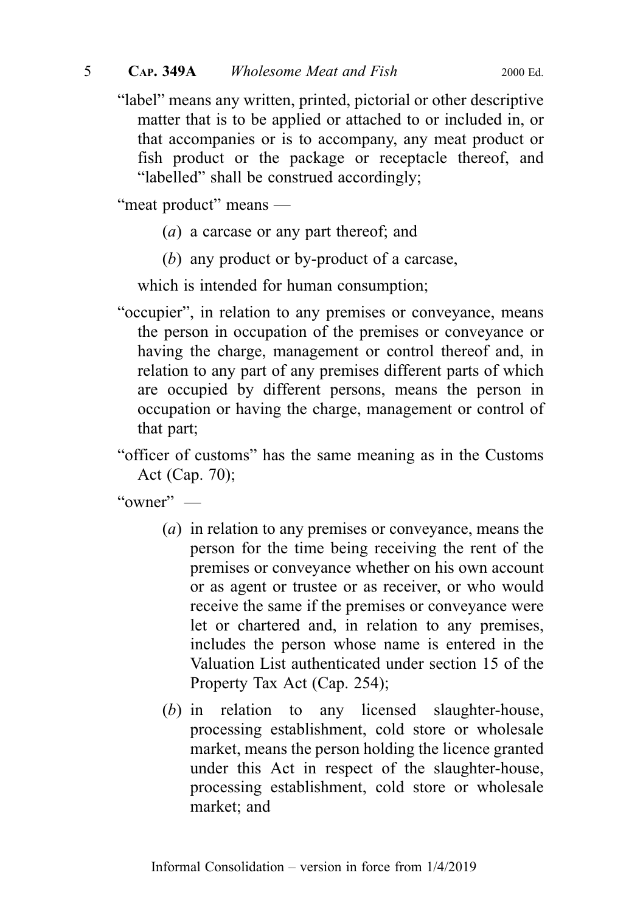"label" means any written, printed, pictorial or other descriptive matter that is to be applied or attached to or included in, or that accompanies or is to accompany, any meat product or fish product or the package or receptacle thereof, and "labelled" shall be construed accordingly;

"meat product" means —

- (a) a carcase or any part thereof; and
- (b) any product or by-product of a carcase,

which is intended for human consumption;

- "occupier", in relation to any premises or conveyance, means the person in occupation of the premises or conveyance or having the charge, management or control thereof and, in relation to any part of any premises different parts of which are occupied by different persons, means the person in occupation or having the charge, management or control of that part;
- "officer of customs" has the same meaning as in the Customs Act (Cap. 70);

"owner" —

- (a) in relation to any premises or conveyance, means the person for the time being receiving the rent of the premises or conveyance whether on his own account or as agent or trustee or as receiver, or who would receive the same if the premises or conveyance were let or chartered and, in relation to any premises, includes the person whose name is entered in the Valuation List authenticated under section 15 of the Property Tax Act (Cap. 254);
- (b) in relation to any licensed slaughter-house, processing establishment, cold store or wholesale market, means the person holding the licence granted under this Act in respect of the slaughter-house, processing establishment, cold store or wholesale market; and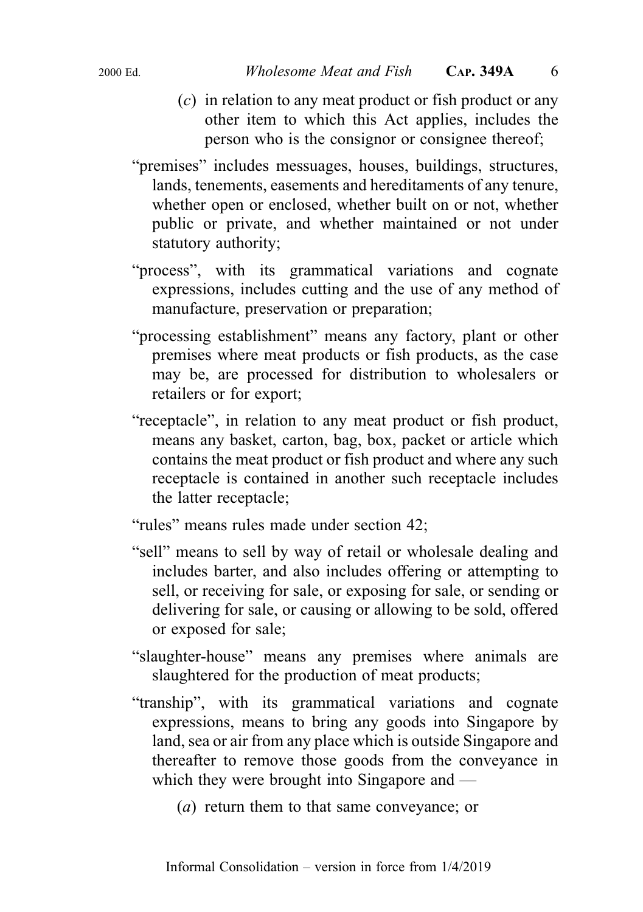- 
- (c) in relation to any meat product or fish product or any other item to which this Act applies, includes the person who is the consignor or consignee thereof;
- "premises" includes messuages, houses, buildings, structures, lands, tenements, easements and hereditaments of any tenure, whether open or enclosed, whether built on or not, whether public or private, and whether maintained or not under statutory authority;
- "process", with its grammatical variations and cognate expressions, includes cutting and the use of any method of manufacture, preservation or preparation;
- "processing establishment" means any factory, plant or other premises where meat products or fish products, as the case may be, are processed for distribution to wholesalers or retailers or for export;
- "receptacle", in relation to any meat product or fish product, means any basket, carton, bag, box, packet or article which contains the meat product or fish product and where any such receptacle is contained in another such receptacle includes the latter receptacle;
- "rules" means rules made under section 42;
- "sell" means to sell by way of retail or wholesale dealing and includes barter, and also includes offering or attempting to sell, or receiving for sale, or exposing for sale, or sending or delivering for sale, or causing or allowing to be sold, offered or exposed for sale;
- "slaughter-house" means any premises where animals are slaughtered for the production of meat products;
- "tranship", with its grammatical variations and cognate expressions, means to bring any goods into Singapore by land, sea or air from any place which is outside Singapore and thereafter to remove those goods from the conveyance in which they were brought into Singapore and —
	- (a) return them to that same conveyance; or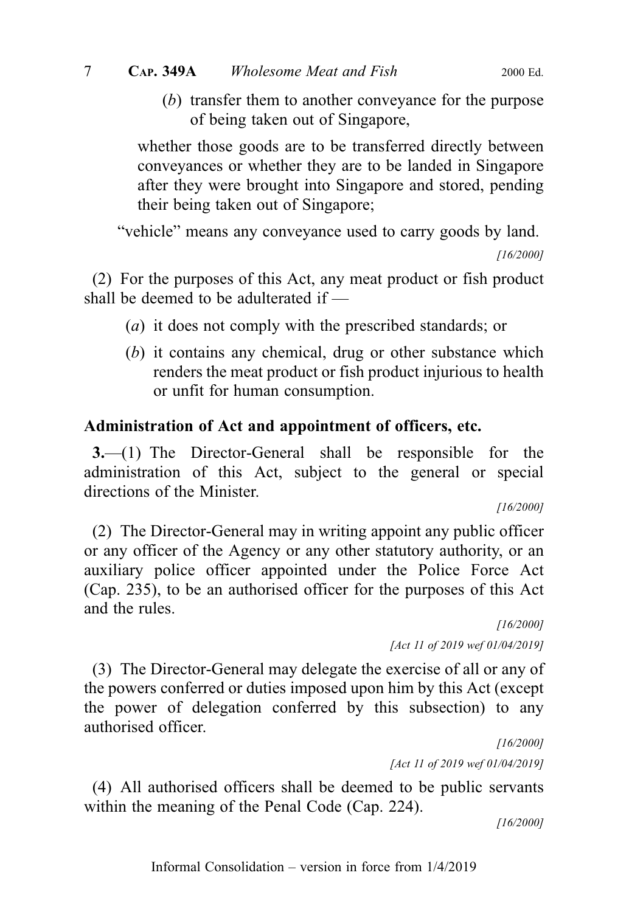(b) transfer them to another conveyance for the purpose of being taken out of Singapore,

whether those goods are to be transferred directly between conveyances or whether they are to be landed in Singapore after they were brought into Singapore and stored, pending their being taken out of Singapore;

"vehicle" means any conveyance used to carry goods by land.

[16/2000]

(2) For the purposes of this Act, any meat product or fish product shall be deemed to be adulterated if —

- (a) it does not comply with the prescribed standards; or
- (b) it contains any chemical, drug or other substance which renders the meat product or fish product injurious to health or unfit for human consumption.

## Administration of Act and appointment of officers, etc.

3.—(1) The Director-General shall be responsible for the administration of this Act, subject to the general or special directions of the Minister.

[16/2000]

(2) The Director-General may in writing appoint any public officer or any officer of the Agency or any other statutory authority, or an auxiliary police officer appointed under the Police Force Act (Cap. 235), to be an authorised officer for the purposes of this Act and the rules.

> [16/2000] [Act 11 of 2019 wef 01/04/2019]

(3) The Director-General may delegate the exercise of all or any of the powers conferred or duties imposed upon him by this Act (except the power of delegation conferred by this subsection) to any authorised officer.

> [16/2000] [Act 11 of 2019 wef 01/04/2019]

(4) All authorised officers shall be deemed to be public servants within the meaning of the Penal Code (Cap. 224).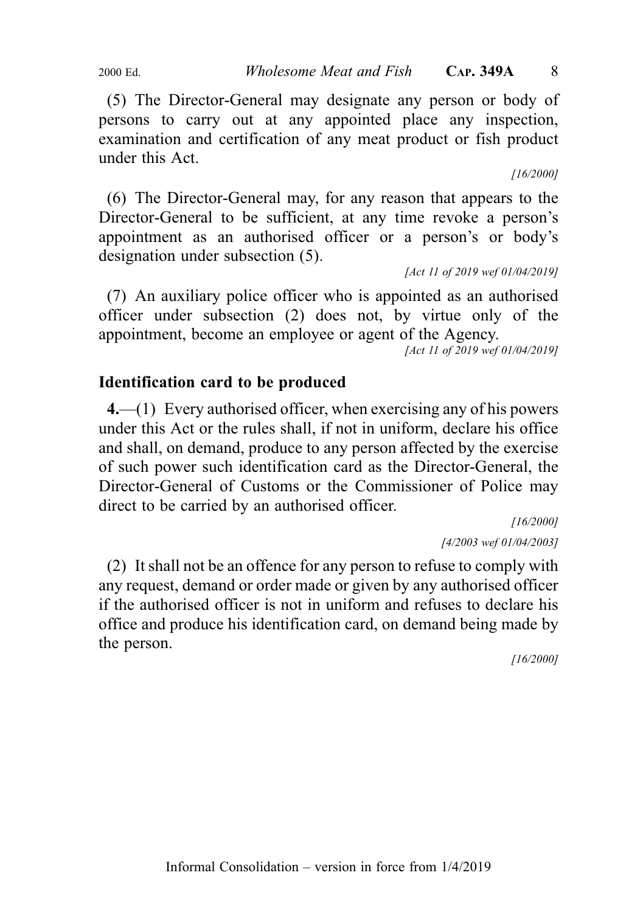2000 Ed. *Wholesome Meat and Fish* CAP. 349A 8

(5) The Director-General may designate any person or body of persons to carry out at any appointed place any inspection, examination and certification of any meat product or fish product under this Act.

[16/2000]

(6) The Director-General may, for any reason that appears to the Director-General to be sufficient, at any time revoke a person's appointment as an authorised officer or a person's or body's designation under subsection (5).

[Act 11 of 2019 wef 01/04/2019]

(7) An auxiliary police officer who is appointed as an authorised officer under subsection (2) does not, by virtue only of the appointment, become an employee or agent of the Agency.

[Act 11 of 2019 wef 01/04/2019]

## Identification card to be produced

4.—(1) Every authorised officer, when exercising any of his powers under this Act or the rules shall, if not in uniform, declare his office and shall, on demand, produce to any person affected by the exercise of such power such identification card as the Director-General, the Director-General of Customs or the Commissioner of Police may direct to be carried by an authorised officer.

> [16/2000] [4/2003 wef 01/04/2003]

(2) It shall not be an offence for any person to refuse to comply with any request, demand or order made or given by any authorised officer if the authorised officer is not in uniform and refuses to declare his office and produce his identification card, on demand being made by the person.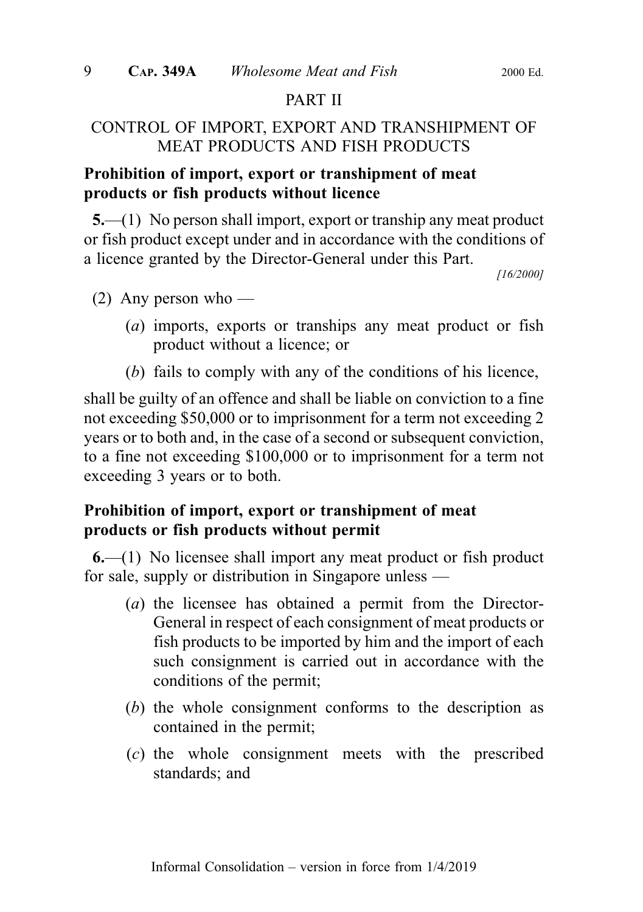## PART II

## CONTROL OF IMPORT, EXPORT AND TRANSHIPMENT OF MEAT PRODUCTS AND FISH PRODUCTS

## Prohibition of import, export or transhipment of meat products or fish products without licence

5.—(1) No person shall import, export or tranship any meat product or fish product except under and in accordance with the conditions of a licence granted by the Director-General under this Part.

[16/2000]

- (2) Any person who
	- (a) imports, exports or tranships any meat product or fish product without a licence; or
	- (b) fails to comply with any of the conditions of his licence,

shall be guilty of an offence and shall be liable on conviction to a fine not exceeding \$50,000 or to imprisonment for a term not exceeding 2 years or to both and, in the case of a second or subsequent conviction, to a fine not exceeding \$100,000 or to imprisonment for a term not exceeding 3 years or to both.

## Prohibition of import, export or transhipment of meat products or fish products without permit

6.—(1) No licensee shall import any meat product or fish product for sale, supply or distribution in Singapore unless —

- (a) the licensee has obtained a permit from the Director-General in respect of each consignment of meat products or fish products to be imported by him and the import of each such consignment is carried out in accordance with the conditions of the permit;
- (b) the whole consignment conforms to the description as contained in the permit;
- (c) the whole consignment meets with the prescribed standards; and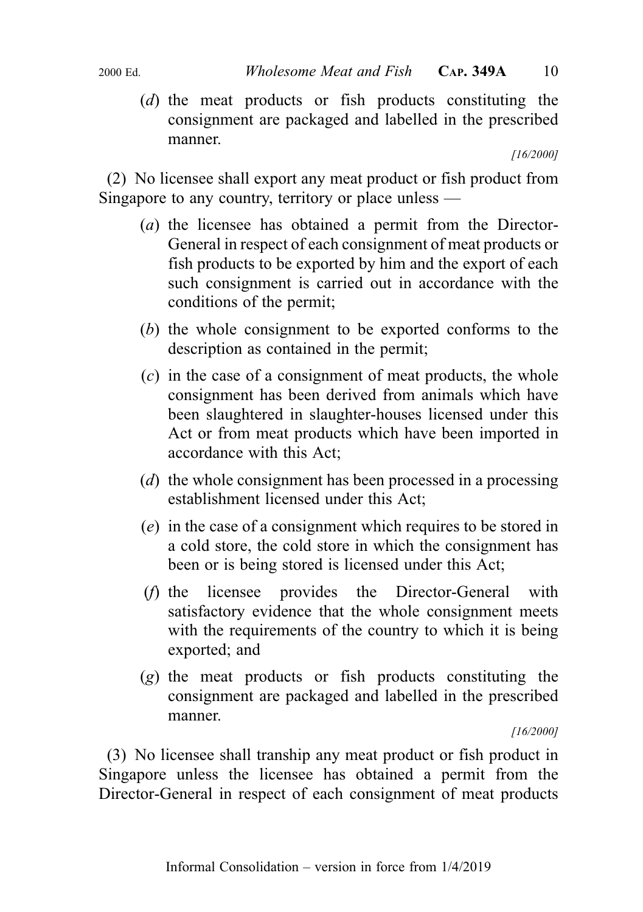(d) the meat products or fish products constituting the consignment are packaged and labelled in the prescribed manner.

[16/2000]

(2) No licensee shall export any meat product or fish product from Singapore to any country, territory or place unless —

- (a) the licensee has obtained a permit from the Director-General in respect of each consignment of meat products or fish products to be exported by him and the export of each such consignment is carried out in accordance with the conditions of the permit;
- (b) the whole consignment to be exported conforms to the description as contained in the permit;
- (c) in the case of a consignment of meat products, the whole consignment has been derived from animals which have been slaughtered in slaughter-houses licensed under this Act or from meat products which have been imported in accordance with this Act;
- (d) the whole consignment has been processed in a processing establishment licensed under this Act;
- (e) in the case of a consignment which requires to be stored in a cold store, the cold store in which the consignment has been or is being stored is licensed under this Act;
- (f) the licensee provides the Director-General with satisfactory evidence that the whole consignment meets with the requirements of the country to which it is being exported; and
- (g) the meat products or fish products constituting the consignment are packaged and labelled in the prescribed manner.

[16/2000]

(3) No licensee shall tranship any meat product or fish product in Singapore unless the licensee has obtained a permit from the Director-General in respect of each consignment of meat products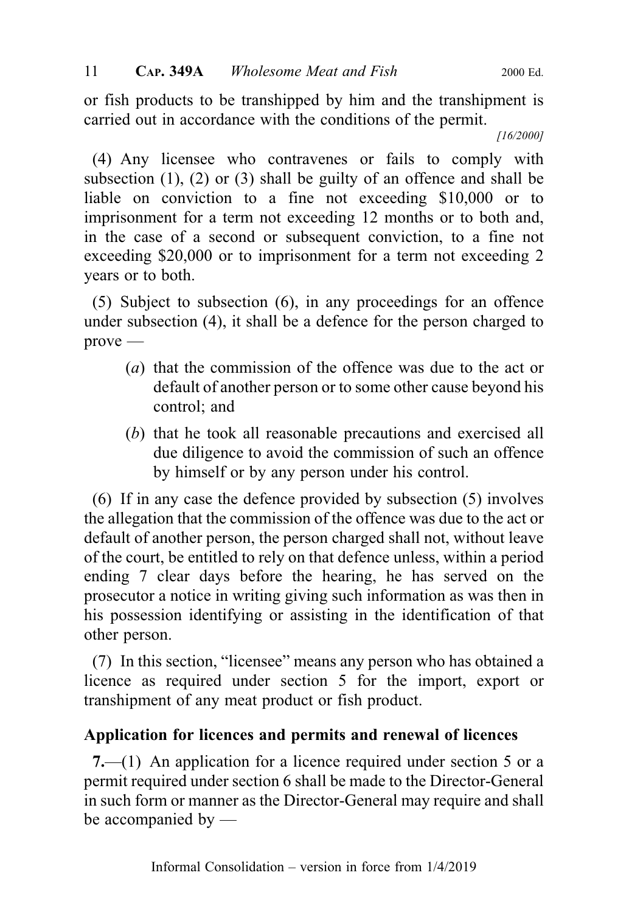or fish products to be transhipped by him and the transhipment is carried out in accordance with the conditions of the permit.

[16/2000]

(4) Any licensee who contravenes or fails to comply with subsection (1), (2) or (3) shall be guilty of an offence and shall be liable on conviction to a fine not exceeding \$10,000 or to imprisonment for a term not exceeding 12 months or to both and, in the case of a second or subsequent conviction, to a fine not exceeding \$20,000 or to imprisonment for a term not exceeding 2 years or to both.

(5) Subject to subsection (6), in any proceedings for an offence under subsection (4), it shall be a defence for the person charged to prove —

- (a) that the commission of the offence was due to the act or default of another person or to some other cause beyond his control; and
- (b) that he took all reasonable precautions and exercised all due diligence to avoid the commission of such an offence by himself or by any person under his control.

(6) If in any case the defence provided by subsection (5) involves the allegation that the commission of the offence was due to the act or default of another person, the person charged shall not, without leave of the court, be entitled to rely on that defence unless, within a period ending 7 clear days before the hearing, he has served on the prosecutor a notice in writing giving such information as was then in his possession identifying or assisting in the identification of that other person.

(7) In this section, "licensee" means any person who has obtained a licence as required under section 5 for the import, export or transhipment of any meat product or fish product.

## Application for licences and permits and renewal of licences

7.—(1) An application for a licence required under section 5 or a permit required under section 6 shall be made to the Director-General in such form or manner as the Director-General may require and shall be accompanied by —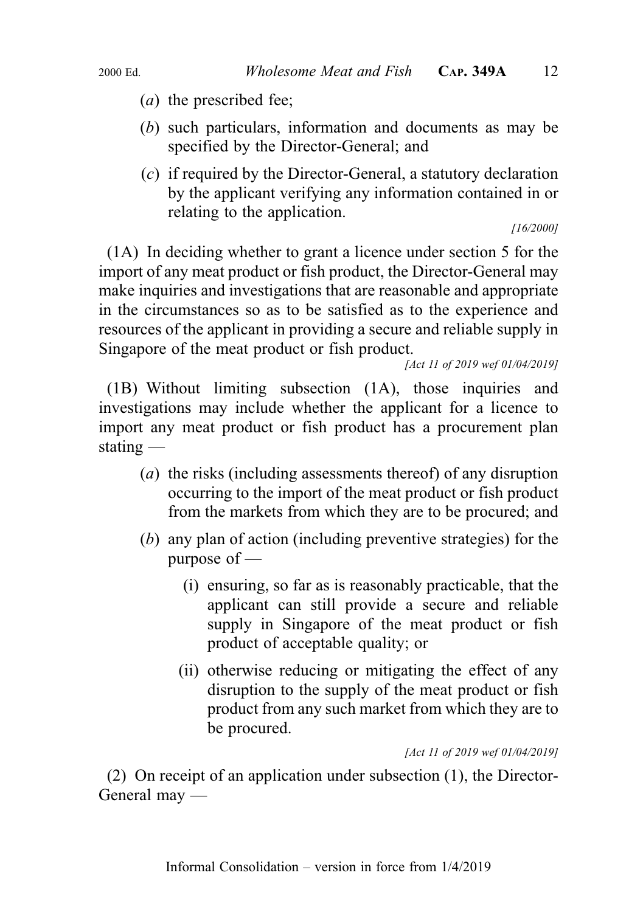- (a) the prescribed fee;
- (b) such particulars, information and documents as may be specified by the Director-General; and
- $(c)$  if required by the Director-General, a statutory declaration by the applicant verifying any information contained in or relating to the application.

[16/2000]

(1A) In deciding whether to grant a licence under section 5 for the import of any meat product or fish product, the Director-General may make inquiries and investigations that are reasonable and appropriate in the circumstances so as to be satisfied as to the experience and resources of the applicant in providing a secure and reliable supply in Singapore of the meat product or fish product.

[Act 11 of 2019 wef 01/04/2019]

(1B) Without limiting subsection (1A), those inquiries and investigations may include whether the applicant for a licence to import any meat product or fish product has a procurement plan stating —

- (a) the risks (including assessments thereof) of any disruption occurring to the import of the meat product or fish product from the markets from which they are to be procured; and
- (b) any plan of action (including preventive strategies) for the purpose of —
	- (i) ensuring, so far as is reasonably practicable, that the applicant can still provide a secure and reliable supply in Singapore of the meat product or fish product of acceptable quality; or
	- (ii) otherwise reducing or mitigating the effect of any disruption to the supply of the meat product or fish product from any such market from which they are to be procured.

[Act 11 of 2019 wef 01/04/2019]

(2) On receipt of an application under subsection (1), the Director-General may —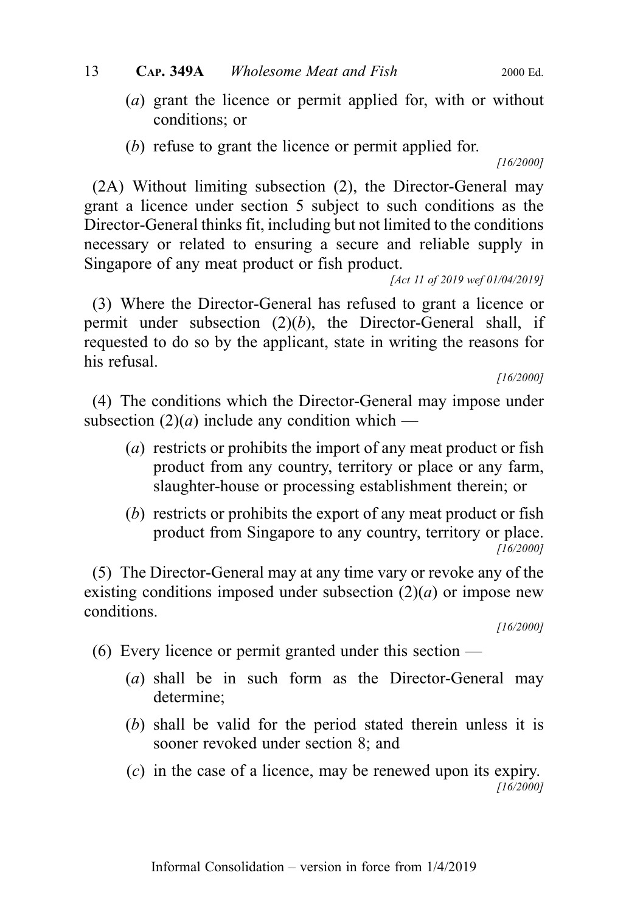- (a) grant the licence or permit applied for, with or without conditions; or
- (b) refuse to grant the licence or permit applied for.

[16/2000]

(2A) Without limiting subsection (2), the Director-General may grant a licence under section 5 subject to such conditions as the Director-General thinks fit, including but not limited to the conditions necessary or related to ensuring a secure and reliable supply in Singapore of any meat product or fish product.

[Act 11 of 2019 wef 01/04/2019]

(3) Where the Director-General has refused to grant a licence or permit under subsection  $(2)(b)$ , the Director-General shall, if requested to do so by the applicant, state in writing the reasons for his refusal.

[16/2000]

(4) The conditions which the Director-General may impose under subsection  $(2)(a)$  include any condition which —

- (a) restricts or prohibits the import of any meat product or fish product from any country, territory or place or any farm, slaughter-house or processing establishment therein; or
- (b) restricts or prohibits the export of any meat product or fish product from Singapore to any country, territory or place. [16/2000]

(5) The Director-General may at any time vary or revoke any of the existing conditions imposed under subsection  $(2)(a)$  or impose new conditions.

[16/2000]

(6) Every licence or permit granted under this section —

- (a) shall be in such form as the Director-General may determine;
- (b) shall be valid for the period stated therein unless it is sooner revoked under section 8; and
- (c) in the case of a licence, may be renewed upon its expiry. [16/2000]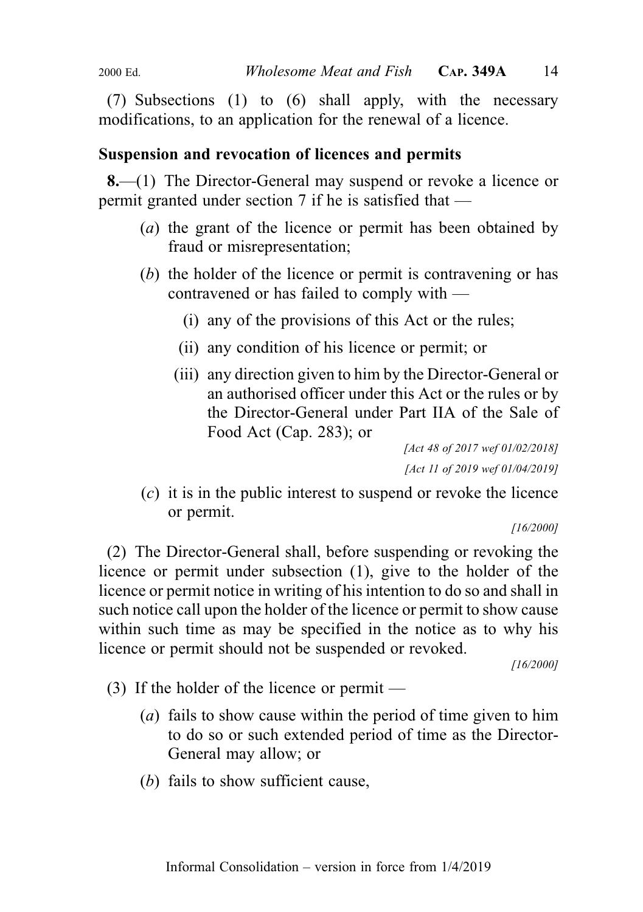(7) Subsections (1) to (6) shall apply, with the necessary modifications, to an application for the renewal of a licence.

#### Suspension and revocation of licences and permits

8.—(1) The Director-General may suspend or revoke a licence or permit granted under section 7 if he is satisfied that —

- (a) the grant of the licence or permit has been obtained by fraud or misrepresentation;
- (b) the holder of the licence or permit is contravening or has contravened or has failed to comply with —
	- (i) any of the provisions of this Act or the rules;
	- (ii) any condition of his licence or permit; or
	- (iii) any direction given to him by the Director-General or an authorised officer under this Act or the rules or by the Director-General under Part IIA of the Sale of Food Act (Cap. 283); or

[Act 48 of 2017 wef 01/02/2018] [Act 11 of 2019 wef 01/04/2019]

(c) it is in the public interest to suspend or revoke the licence or permit.

[16/2000]

(2) The Director-General shall, before suspending or revoking the licence or permit under subsection (1), give to the holder of the licence or permit notice in writing of his intention to do so and shall in such notice call upon the holder of the licence or permit to show cause within such time as may be specified in the notice as to why his licence or permit should not be suspended or revoked.

- (3) If the holder of the licence or permit
	- (a) fails to show cause within the period of time given to him to do so or such extended period of time as the Director-General may allow; or
	- (b) fails to show sufficient cause,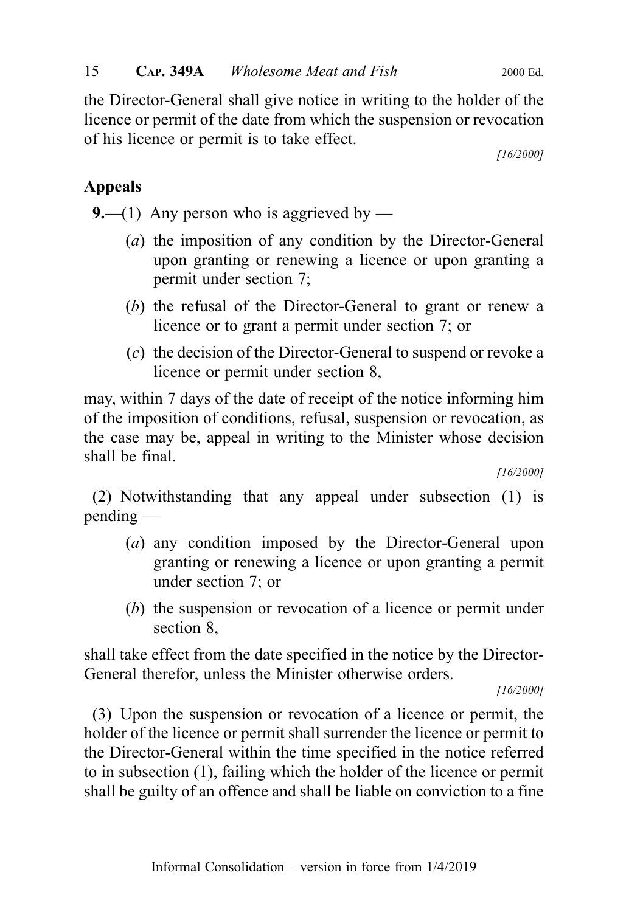the Director-General shall give notice in writing to the holder of the licence or permit of the date from which the suspension or revocation of his licence or permit is to take effect.

[16/2000]

## Appeals

**9.**—(1) Any person who is aggrieved by —

- (a) the imposition of any condition by the Director-General upon granting or renewing a licence or upon granting a permit under section 7;
- (b) the refusal of the Director-General to grant or renew a licence or to grant a permit under section 7; or
- (c) the decision of the Director-General to suspend or revoke a licence or permit under section 8,

may, within 7 days of the date of receipt of the notice informing him of the imposition of conditions, refusal, suspension or revocation, as the case may be, appeal in writing to the Minister whose decision shall be final.

[16/2000]

(2) Notwithstanding that any appeal under subsection (1) is pending —

- (a) any condition imposed by the Director-General upon granting or renewing a licence or upon granting a permit under section 7; or
- (b) the suspension or revocation of a licence or permit under section 8,

shall take effect from the date specified in the notice by the Director-General therefor, unless the Minister otherwise orders.

[16/2000]

(3) Upon the suspension or revocation of a licence or permit, the holder of the licence or permit shall surrender the licence or permit to the Director-General within the time specified in the notice referred to in subsection (1), failing which the holder of the licence or permit shall be guilty of an offence and shall be liable on conviction to a fine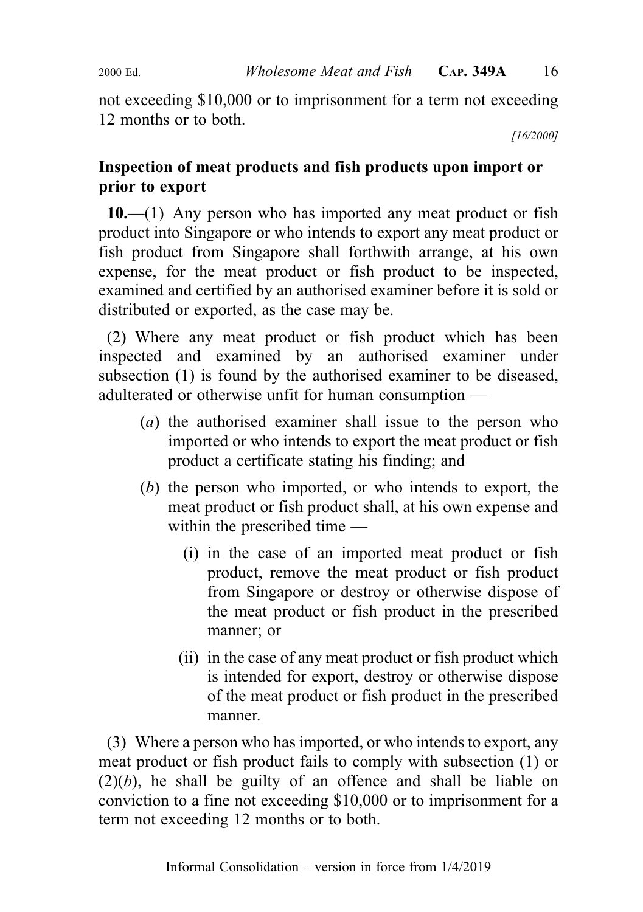not exceeding \$10,000 or to imprisonment for a term not exceeding 12 months or to both.

[16/2000]

## Inspection of meat products and fish products upon import or prior to export

 $10.$ — $(1)$  Any person who has imported any meat product or fish product into Singapore or who intends to export any meat product or fish product from Singapore shall forthwith arrange, at his own expense, for the meat product or fish product to be inspected, examined and certified by an authorised examiner before it is sold or distributed or exported, as the case may be.

(2) Where any meat product or fish product which has been inspected and examined by an authorised examiner under subsection (1) is found by the authorised examiner to be diseased, adulterated or otherwise unfit for human consumption —

- (a) the authorised examiner shall issue to the person who imported or who intends to export the meat product or fish product a certificate stating his finding; and
- (b) the person who imported, or who intends to export, the meat product or fish product shall, at his own expense and within the prescribed time —
	- (i) in the case of an imported meat product or fish product, remove the meat product or fish product from Singapore or destroy or otherwise dispose of the meat product or fish product in the prescribed manner; or
	- (ii) in the case of any meat product or fish product which is intended for export, destroy or otherwise dispose of the meat product or fish product in the prescribed manner.

(3) Where a person who has imported, or who intends to export, any meat product or fish product fails to comply with subsection (1) or  $(2)(b)$ , he shall be guilty of an offence and shall be liable on conviction to a fine not exceeding \$10,000 or to imprisonment for a term not exceeding 12 months or to both.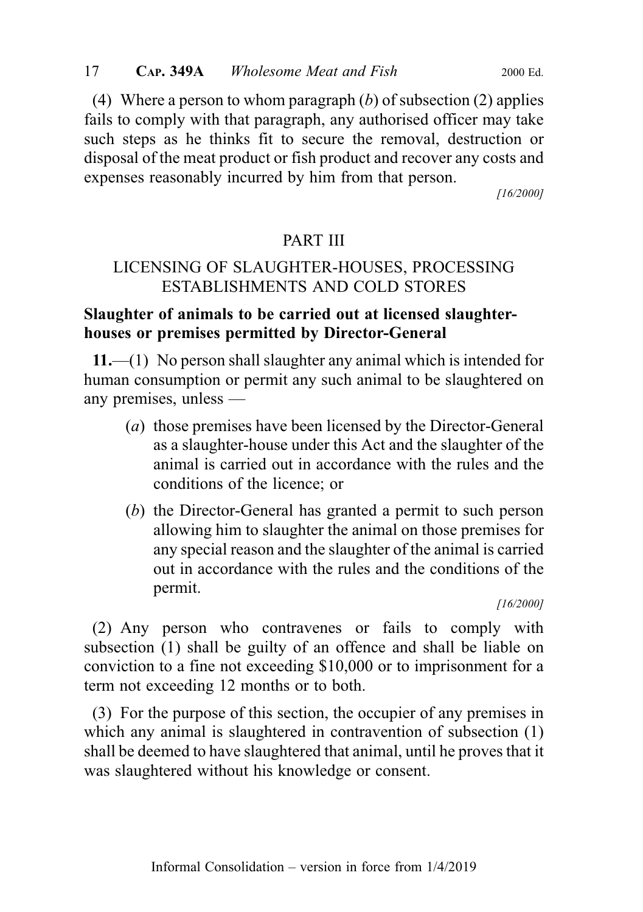(4) Where a person to whom paragraph  $(b)$  of subsection  $(2)$  applies fails to comply with that paragraph, any authorised officer may take such steps as he thinks fit to secure the removal, destruction or

[16/2000]

## PART III

disposal of the meat product or fish product and recover any costs and

expenses reasonably incurred by him from that person.

## LICENSING OF SLAUGHTER-HOUSES, PROCESSING ESTABLISHMENTS AND COLD STORES

## Slaughter of animals to be carried out at licensed slaughterhouses or premises permitted by Director-General

11.—(1) No person shall slaughter any animal which is intended for human consumption or permit any such animal to be slaughtered on any premises, unless —

- (a) those premises have been licensed by the Director-General as a slaughter-house under this Act and the slaughter of the animal is carried out in accordance with the rules and the conditions of the licence; or
- (b) the Director-General has granted a permit to such person allowing him to slaughter the animal on those premises for any special reason and the slaughter of the animal is carried out in accordance with the rules and the conditions of the permit.

[16/2000]

(2) Any person who contravenes or fails to comply with subsection (1) shall be guilty of an offence and shall be liable on conviction to a fine not exceeding \$10,000 or to imprisonment for a term not exceeding 12 months or to both.

(3) For the purpose of this section, the occupier of any premises in which any animal is slaughtered in contravention of subsection (1) shall be deemed to have slaughtered that animal, until he proves that it was slaughtered without his knowledge or consent.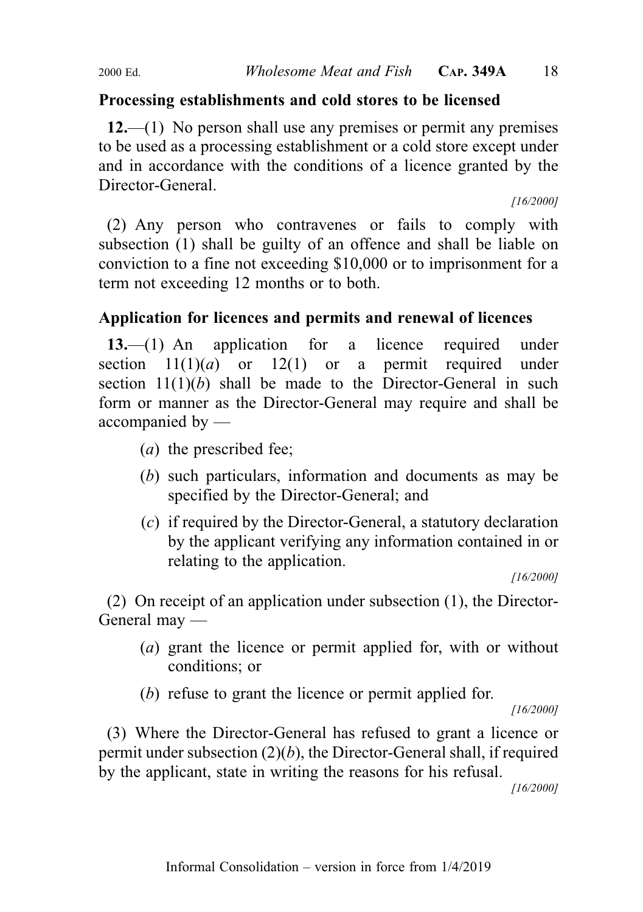## Processing establishments and cold stores to be licensed

 $12$ —(1) No person shall use any premises or permit any premises to be used as a processing establishment or a cold store except under and in accordance with the conditions of a licence granted by the Director-General.

[16/2000]

(2) Any person who contravenes or fails to comply with subsection (1) shall be guilty of an offence and shall be liable on conviction to a fine not exceeding \$10,000 or to imprisonment for a term not exceeding 12 months or to both.

## Application for licences and permits and renewal of licences

13.—(1) An application for a licence required under section  $11(1)(a)$  or  $12(1)$  or a permit required under section  $11(1)(b)$  shall be made to the Director-General in such form or manner as the Director-General may require and shall be accompanied by —

- (a) the prescribed fee;
- (b) such particulars, information and documents as may be specified by the Director-General; and
- (c) if required by the Director-General, a statutory declaration by the applicant verifying any information contained in or relating to the application.

[16/2000]

(2) On receipt of an application under subsection (1), the Director-General may —

- (a) grant the licence or permit applied for, with or without conditions; or
- (b) refuse to grant the licence or permit applied for.

[16/2000]

(3) Where the Director-General has refused to grant a licence or permit under subsection  $(2)(b)$ , the Director-General shall, if required by the applicant, state in writing the reasons for his refusal.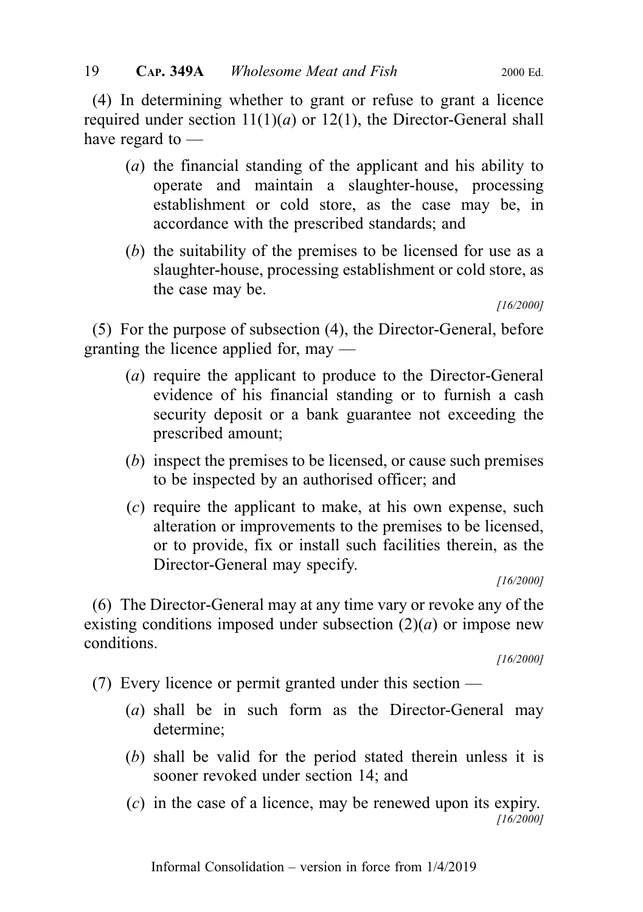(4) In determining whether to grant or refuse to grant a licence required under section  $11(1)(a)$  or  $12(1)$ , the Director-General shall have regard to —

- (a) the financial standing of the applicant and his ability to operate and maintain a slaughter-house, processing establishment or cold store, as the case may be, in accordance with the prescribed standards; and
- (b) the suitability of the premises to be licensed for use as a slaughter-house, processing establishment or cold store, as the case may be.

[16/2000]

(5) For the purpose of subsection (4), the Director-General, before granting the licence applied for, may —

- (a) require the applicant to produce to the Director-General evidence of his financial standing or to furnish a cash security deposit or a bank guarantee not exceeding the prescribed amount;
- (b) inspect the premises to be licensed, or cause such premises to be inspected by an authorised officer; and
- (c) require the applicant to make, at his own expense, such alteration or improvements to the premises to be licensed, or to provide, fix or install such facilities therein, as the Director-General may specify.

[16/2000]

(6) The Director-General may at any time vary or revoke any of the existing conditions imposed under subsection  $(2)(a)$  or impose new conditions.

- (7) Every licence or permit granted under this section
	- (a) shall be in such form as the Director-General may determine;
	- (b) shall be valid for the period stated therein unless it is sooner revoked under section 14; and
	- (c) in the case of a licence, may be renewed upon its expiry. [16/2000]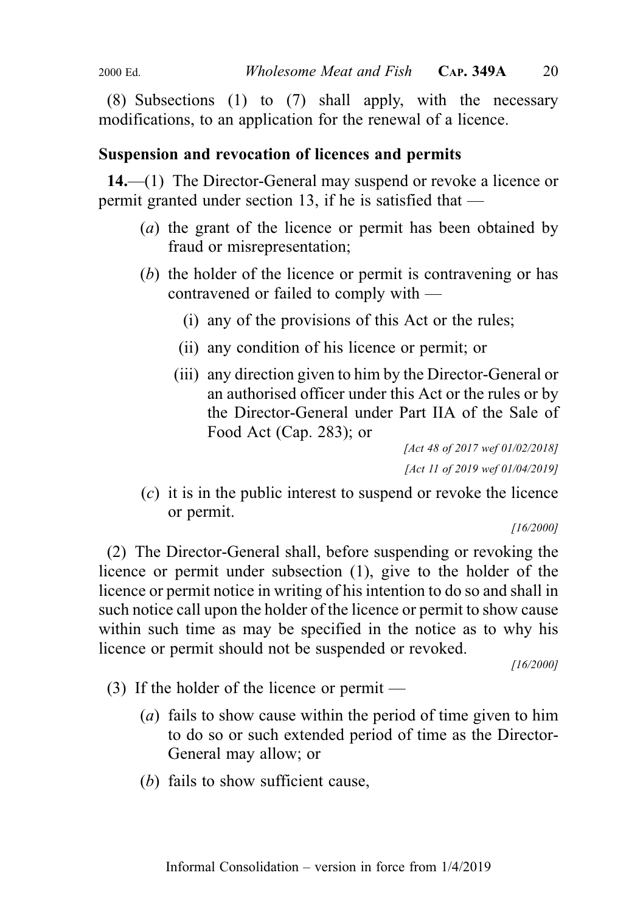(8) Subsections (1) to (7) shall apply, with the necessary modifications, to an application for the renewal of a licence.

### Suspension and revocation of licences and permits

14.—(1) The Director-General may suspend or revoke a licence or permit granted under section 13, if he is satisfied that —

- (a) the grant of the licence or permit has been obtained by fraud or misrepresentation;
- (b) the holder of the licence or permit is contravening or has contravened or failed to comply with —
	- (i) any of the provisions of this Act or the rules;
	- (ii) any condition of his licence or permit; or
	- (iii) any direction given to him by the Director-General or an authorised officer under this Act or the rules or by the Director-General under Part IIA of the Sale of Food Act (Cap. 283); or

[Act 48 of 2017 wef 01/02/2018] [Act 11 of 2019 wef 01/04/2019]

(c) it is in the public interest to suspend or revoke the licence or permit.

[16/2000]

(2) The Director-General shall, before suspending or revoking the licence or permit under subsection (1), give to the holder of the licence or permit notice in writing of his intention to do so and shall in such notice call upon the holder of the licence or permit to show cause within such time as may be specified in the notice as to why his licence or permit should not be suspended or revoked.

- (3) If the holder of the licence or permit
	- (a) fails to show cause within the period of time given to him to do so or such extended period of time as the Director-General may allow; or
	- (b) fails to show sufficient cause,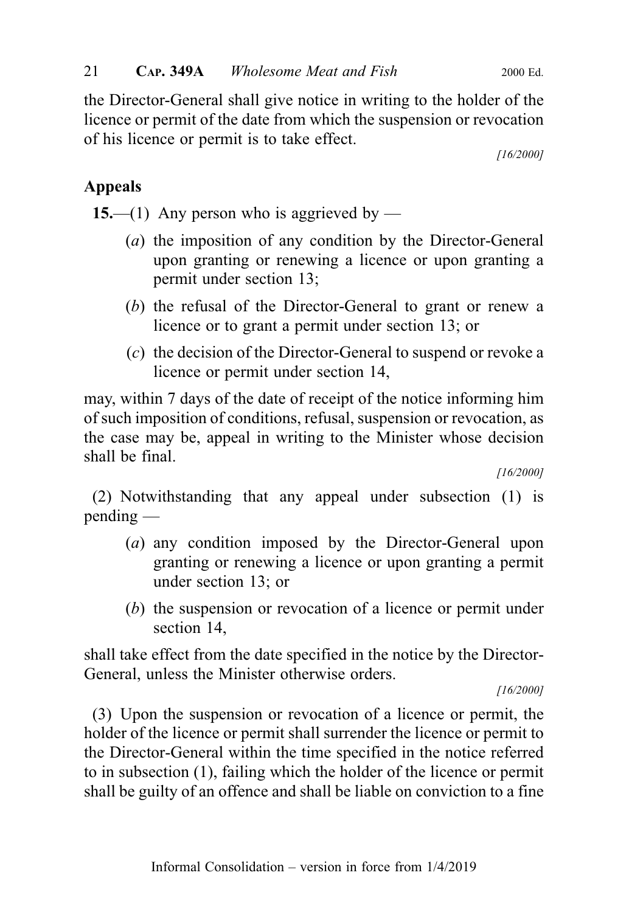the Director-General shall give notice in writing to the holder of the licence or permit of the date from which the suspension or revocation of his licence or permit is to take effect.

[16/2000]

## Appeals

15.—(1) Any person who is aggrieved by —

- (a) the imposition of any condition by the Director-General upon granting or renewing a licence or upon granting a permit under section 13;
- (b) the refusal of the Director-General to grant or renew a licence or to grant a permit under section 13; or
- (c) the decision of the Director-General to suspend or revoke a licence or permit under section 14,

may, within 7 days of the date of receipt of the notice informing him of such imposition of conditions, refusal, suspension or revocation, as the case may be, appeal in writing to the Minister whose decision shall be final.

[16/2000]

(2) Notwithstanding that any appeal under subsection (1) is pending —

- (a) any condition imposed by the Director-General upon granting or renewing a licence or upon granting a permit under section 13; or
- (b) the suspension or revocation of a licence or permit under section 14,

shall take effect from the date specified in the notice by the Director-General, unless the Minister otherwise orders.

[16/2000]

(3) Upon the suspension or revocation of a licence or permit, the holder of the licence or permit shall surrender the licence or permit to the Director-General within the time specified in the notice referred to in subsection (1), failing which the holder of the licence or permit shall be guilty of an offence and shall be liable on conviction to a fine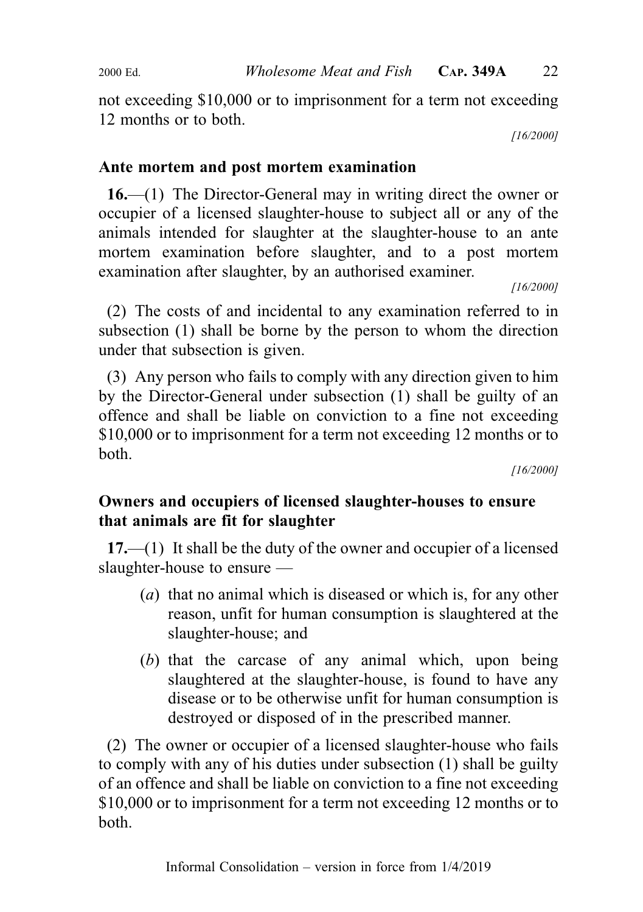not exceeding \$10,000 or to imprisonment for a term not exceeding 12 months or to both.

[16/2000]

## Ante mortem and post mortem examination

16.—(1) The Director-General may in writing direct the owner or occupier of a licensed slaughter-house to subject all or any of the animals intended for slaughter at the slaughter-house to an ante mortem examination before slaughter, and to a post mortem examination after slaughter, by an authorised examiner.

[16/2000]

(2) The costs of and incidental to any examination referred to in subsection (1) shall be borne by the person to whom the direction under that subsection is given.

(3) Any person who fails to comply with any direction given to him by the Director-General under subsection (1) shall be guilty of an offence and shall be liable on conviction to a fine not exceeding \$10,000 or to imprisonment for a term not exceeding 12 months or to both.

[16/2000]

## Owners and occupiers of licensed slaughter-houses to ensure that animals are fit for slaughter

17.—(1) It shall be the duty of the owner and occupier of a licensed slaughter-house to ensure —

- (a) that no animal which is diseased or which is, for any other reason, unfit for human consumption is slaughtered at the slaughter-house; and
- (b) that the carcase of any animal which, upon being slaughtered at the slaughter-house, is found to have any disease or to be otherwise unfit for human consumption is destroyed or disposed of in the prescribed manner.

(2) The owner or occupier of a licensed slaughter-house who fails to comply with any of his duties under subsection (1) shall be guilty of an offence and shall be liable on conviction to a fine not exceeding \$10,000 or to imprisonment for a term not exceeding 12 months or to both.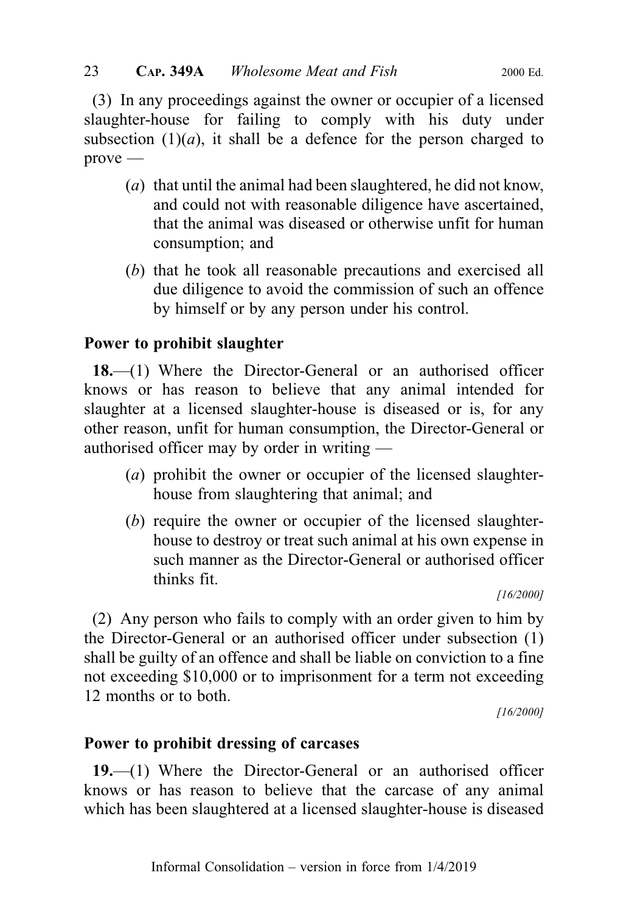(3) In any proceedings against the owner or occupier of a licensed slaughter-house for failing to comply with his duty under subsection  $(1)(a)$ , it shall be a defence for the person charged to  $prove -$ 

- (a) that until the animal had been slaughtered, he did not know, and could not with reasonable diligence have ascertained, that the animal was diseased or otherwise unfit for human consumption; and
- (b) that he took all reasonable precautions and exercised all due diligence to avoid the commission of such an offence by himself or by any person under his control.

## Power to prohibit slaughter

18.—(1) Where the Director-General or an authorised officer knows or has reason to believe that any animal intended for slaughter at a licensed slaughter-house is diseased or is, for any other reason, unfit for human consumption, the Director-General or authorised officer may by order in writing —

- (a) prohibit the owner or occupier of the licensed slaughterhouse from slaughtering that animal; and
- (b) require the owner or occupier of the licensed slaughterhouse to destroy or treat such animal at his own expense in such manner as the Director-General or authorised officer thinks fit.

[16/2000]

(2) Any person who fails to comply with an order given to him by the Director-General or an authorised officer under subsection (1) shall be guilty of an offence and shall be liable on conviction to a fine not exceeding \$10,000 or to imprisonment for a term not exceeding 12 months or to both.

[16/2000]

#### Power to prohibit dressing of carcases

19.—(1) Where the Director-General or an authorised officer knows or has reason to believe that the carcase of any animal which has been slaughtered at a licensed slaughter-house is diseased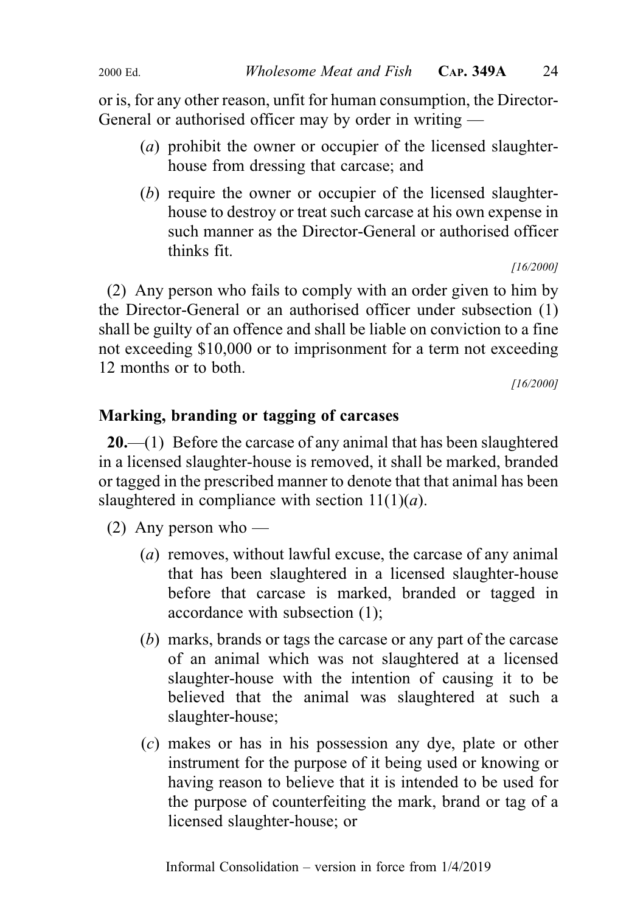or is, for any other reason, unfit for human consumption, the Director-General or authorised officer may by order in writing —

- (a) prohibit the owner or occupier of the licensed slaughterhouse from dressing that carcase; and
- (b) require the owner or occupier of the licensed slaughterhouse to destroy or treat such carcase at his own expense in such manner as the Director-General or authorised officer thinks fit.

[16/2000]

(2) Any person who fails to comply with an order given to him by the Director-General or an authorised officer under subsection (1) shall be guilty of an offence and shall be liable on conviction to a fine not exceeding \$10,000 or to imprisonment for a term not exceeding 12 months or to both.

[16/2000]

## Marking, branding or tagging of carcases

**20.**—(1) Before the carcase of any animal that has been slaughtered in a licensed slaughter-house is removed, it shall be marked, branded or tagged in the prescribed manner to denote that that animal has been slaughtered in compliance with section  $11(1)(a)$ .

(2) Any person who —

- (a) removes, without lawful excuse, the carcase of any animal that has been slaughtered in a licensed slaughter-house before that carcase is marked, branded or tagged in accordance with subsection (1);
- (b) marks, brands or tags the carcase or any part of the carcase of an animal which was not slaughtered at a licensed slaughter-house with the intention of causing it to be believed that the animal was slaughtered at such a slaughter-house;
- (c) makes or has in his possession any dye, plate or other instrument for the purpose of it being used or knowing or having reason to believe that it is intended to be used for the purpose of counterfeiting the mark, brand or tag of a licensed slaughter-house; or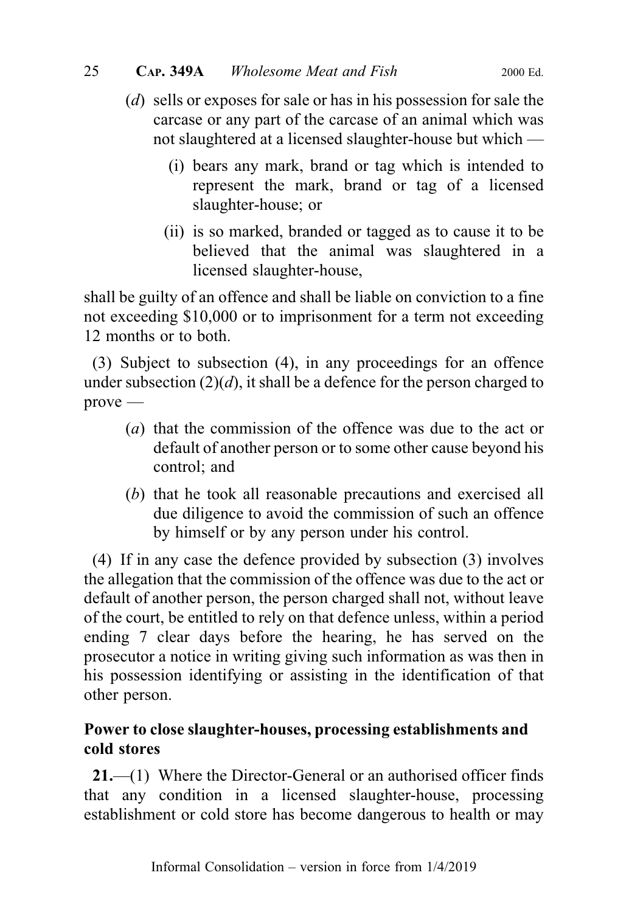- (d) sells or exposes for sale or has in his possession for sale the carcase or any part of the carcase of an animal which was not slaughtered at a licensed slaughter-house but which —
	- (i) bears any mark, brand or tag which is intended to represent the mark, brand or tag of a licensed slaughter-house; or
	- (ii) is so marked, branded or tagged as to cause it to be believed that the animal was slaughtered in a licensed slaughter-house,

shall be guilty of an offence and shall be liable on conviction to a fine not exceeding \$10,000 or to imprisonment for a term not exceeding 12 months or to both.

(3) Subject to subsection (4), in any proceedings for an offence under subsection  $(2)(d)$ , it shall be a defence for the person charged to prove —

- (a) that the commission of the offence was due to the act or default of another person or to some other cause beyond his control; and
- (b) that he took all reasonable precautions and exercised all due diligence to avoid the commission of such an offence by himself or by any person under his control.

(4) If in any case the defence provided by subsection (3) involves the allegation that the commission of the offence was due to the act or default of another person, the person charged shall not, without leave of the court, be entitled to rely on that defence unless, within a period ending 7 clear days before the hearing, he has served on the prosecutor a notice in writing giving such information as was then in his possession identifying or assisting in the identification of that other person.

## Power to close slaughter-houses, processing establishments and cold stores

21.—(1) Where the Director-General or an authorised officer finds that any condition in a licensed slaughter-house, processing establishment or cold store has become dangerous to health or may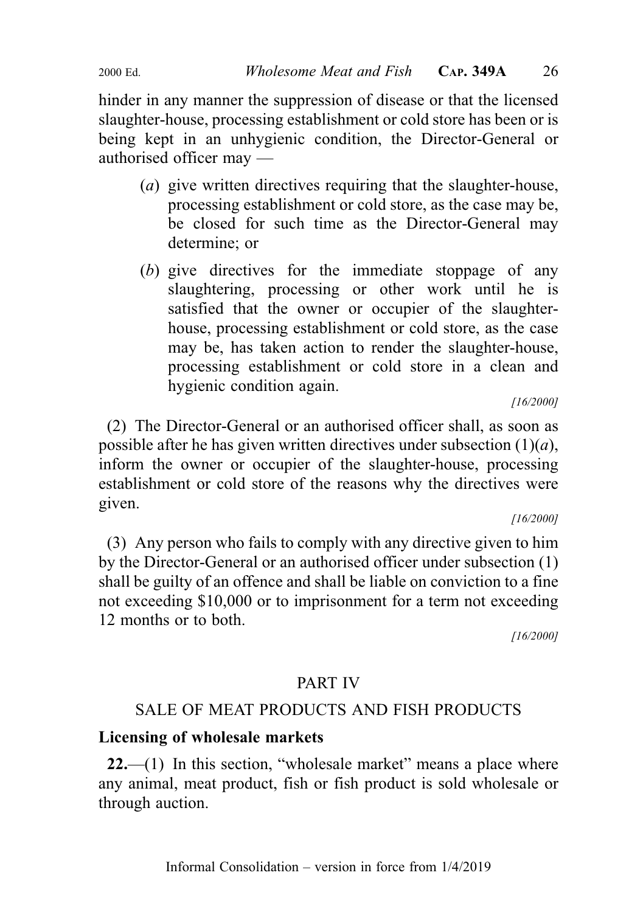hinder in any manner the suppression of disease or that the licensed slaughter-house, processing establishment or cold store has been or is being kept in an unhygienic condition, the Director-General or authorised officer may —

- (a) give written directives requiring that the slaughter-house, processing establishment or cold store, as the case may be, be closed for such time as the Director-General may determine; or
- (b) give directives for the immediate stoppage of any slaughtering, processing or other work until he is satisfied that the owner or occupier of the slaughterhouse, processing establishment or cold store, as the case may be, has taken action to render the slaughter-house, processing establishment or cold store in a clean and hygienic condition again.

[16/2000]

(2) The Director-General or an authorised officer shall, as soon as possible after he has given written directives under subsection  $(1)(a)$ , inform the owner or occupier of the slaughter-house, processing establishment or cold store of the reasons why the directives were given.

[16/2000]

(3) Any person who fails to comply with any directive given to him by the Director-General or an authorised officer under subsection (1) shall be guilty of an offence and shall be liable on conviction to a fine not exceeding \$10,000 or to imprisonment for a term not exceeding 12 months or to both.

[16/2000]

## PART IV

## SALE OF MEAT PRODUCTS AND FISH PRODUCTS

## Licensing of wholesale markets

 $22$ —(1) In this section, "wholesale market" means a place where any animal, meat product, fish or fish product is sold wholesale or through auction.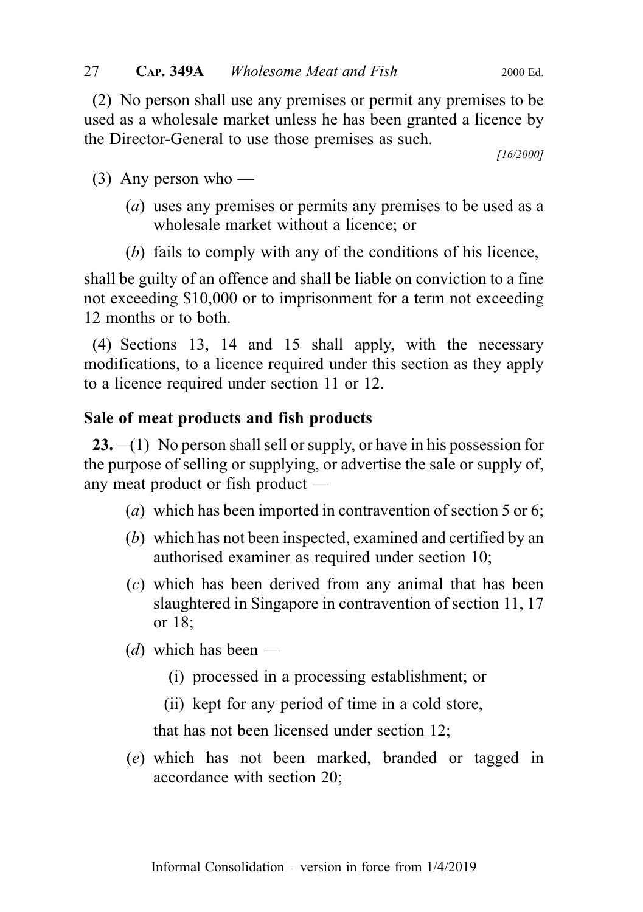(2) No person shall use any premises or permit any premises to be used as a wholesale market unless he has been granted a licence by the Director-General to use those premises as such.

[16/2000]

 $(3)$  Any person who —

- (a) uses any premises or permits any premises to be used as a wholesale market without a licence; or
- (b) fails to comply with any of the conditions of his licence,

shall be guilty of an offence and shall be liable on conviction to a fine not exceeding \$10,000 or to imprisonment for a term not exceeding 12 months or to both.

(4) Sections 13, 14 and 15 shall apply, with the necessary modifications, to a licence required under this section as they apply to a licence required under section 11 or 12.

## Sale of meat products and fish products

23.—(1) No person shall sell or supply, or have in his possession for the purpose of selling or supplying, or advertise the sale or supply of, any meat product or fish product —

- (a) which has been imported in contravention of section 5 or 6;
- (b) which has not been inspected, examined and certified by an authorised examiner as required under section 10;
- (c) which has been derived from any animal that has been slaughtered in Singapore in contravention of section 11, 17 or 18;
- (d) which has been
	- (i) processed in a processing establishment; or
	- (ii) kept for any period of time in a cold store,

that has not been licensed under section 12;

(e) which has not been marked, branded or tagged in accordance with section 20;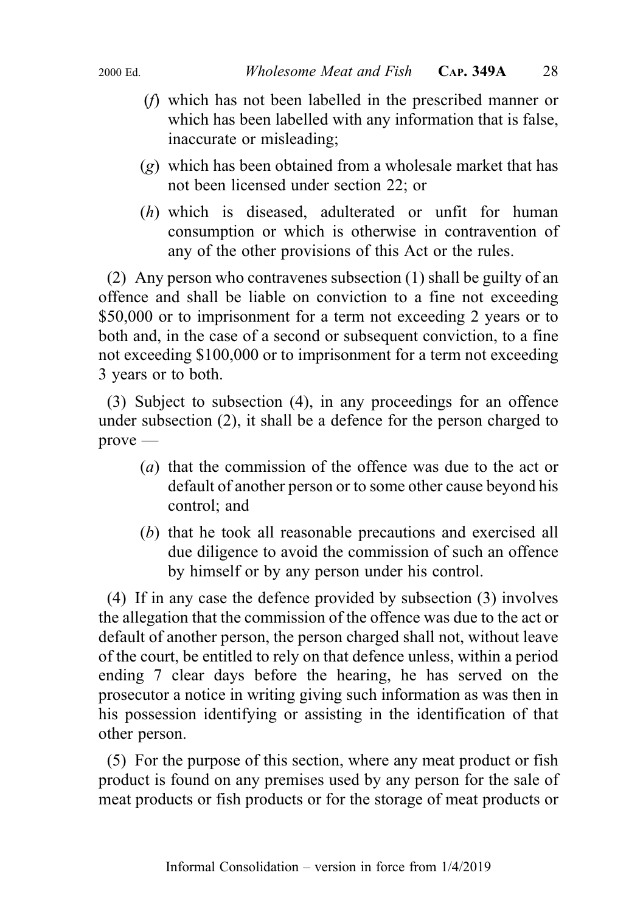- (f) which has not been labelled in the prescribed manner or which has been labelled with any information that is false, inaccurate or misleading;
- (g) which has been obtained from a wholesale market that has not been licensed under section 22; or
- (h) which is diseased, adulterated or unfit for human consumption or which is otherwise in contravention of any of the other provisions of this Act or the rules.

(2) Any person who contravenes subsection (1) shall be guilty of an offence and shall be liable on conviction to a fine not exceeding \$50,000 or to imprisonment for a term not exceeding 2 years or to both and, in the case of a second or subsequent conviction, to a fine not exceeding \$100,000 or to imprisonment for a term not exceeding 3 years or to both.

(3) Subject to subsection (4), in any proceedings for an offence under subsection (2), it shall be a defence for the person charged to prove —

- (a) that the commission of the offence was due to the act or default of another person or to some other cause beyond his control; and
- (b) that he took all reasonable precautions and exercised all due diligence to avoid the commission of such an offence by himself or by any person under his control.

(4) If in any case the defence provided by subsection (3) involves the allegation that the commission of the offence was due to the act or default of another person, the person charged shall not, without leave of the court, be entitled to rely on that defence unless, within a period ending 7 clear days before the hearing, he has served on the prosecutor a notice in writing giving such information as was then in his possession identifying or assisting in the identification of that other person.

(5) For the purpose of this section, where any meat product or fish product is found on any premises used by any person for the sale of meat products or fish products or for the storage of meat products or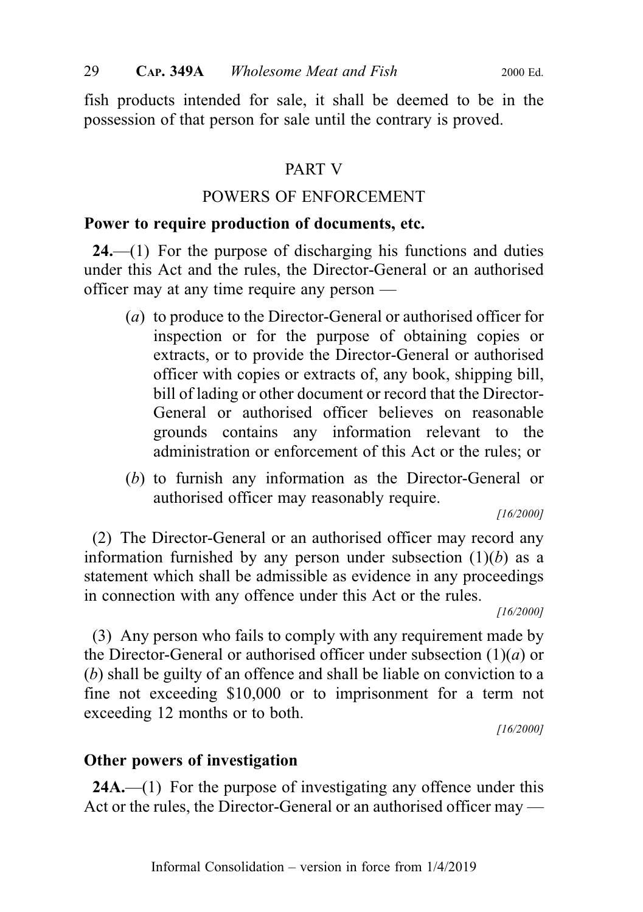fish products intended for sale, it shall be deemed to be in the possession of that person for sale until the contrary is proved.

## PART V

## POWERS OF ENFORCEMENT

## Power to require production of documents, etc.

 $24$ ,  $-$ (1) For the purpose of discharging his functions and duties under this Act and the rules, the Director-General or an authorised officer may at any time require any person —

- (a) to produce to the Director-General or authorised officer for inspection or for the purpose of obtaining copies or extracts, or to provide the Director-General or authorised officer with copies or extracts of, any book, shipping bill, bill of lading or other document or record that the Director-General or authorised officer believes on reasonable grounds contains any information relevant to the administration or enforcement of this Act or the rules; or
- (b) to furnish any information as the Director-General or authorised officer may reasonably require.

[16/2000]

(2) The Director-General or an authorised officer may record any information furnished by any person under subsection  $(1)(b)$  as a statement which shall be admissible as evidence in any proceedings in connection with any offence under this Act or the rules.

[16/2000]

(3) Any person who fails to comply with any requirement made by the Director-General or authorised officer under subsection  $(1)(a)$  or (b) shall be guilty of an offence and shall be liable on conviction to a fine not exceeding \$10,000 or to imprisonment for a term not exceeding 12 months or to both.

[16/2000]

## Other powers of investigation

24A.—(1) For the purpose of investigating any offence under this Act or the rules, the Director-General or an authorised officer may —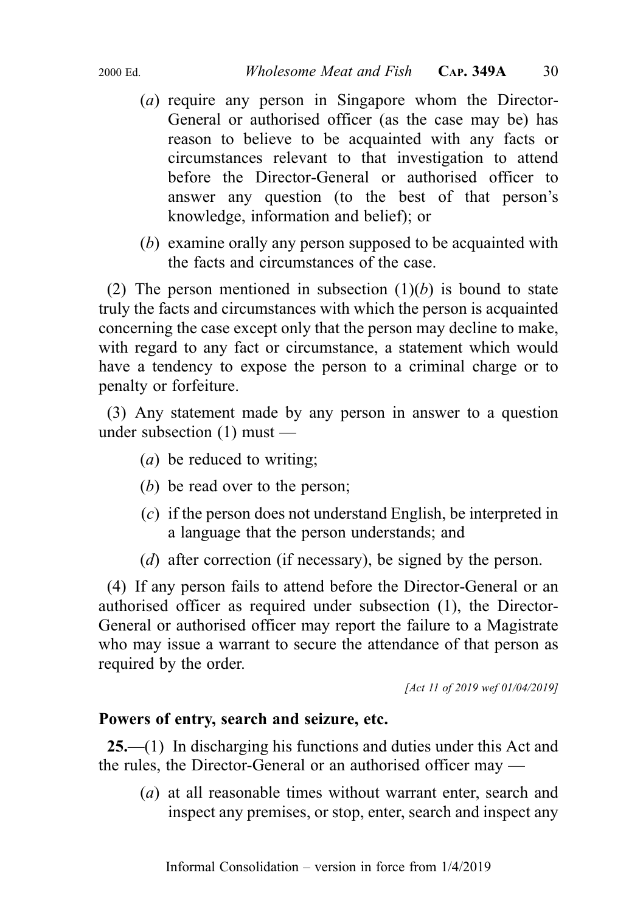- - (a) require any person in Singapore whom the Director-General or authorised officer (as the case may be) has reason to believe to be acquainted with any facts or circumstances relevant to that investigation to attend before the Director-General or authorised officer to answer any question (to the best of that person's knowledge, information and belief); or
	- (b) examine orally any person supposed to be acquainted with the facts and circumstances of the case.

(2) The person mentioned in subsection  $(1)(b)$  is bound to state truly the facts and circumstances with which the person is acquainted concerning the case except only that the person may decline to make, with regard to any fact or circumstance, a statement which would have a tendency to expose the person to a criminal charge or to penalty or forfeiture.

(3) Any statement made by any person in answer to a question under subsection (1) must —

- (a) be reduced to writing;
- (b) be read over to the person;
- (c) if the person does not understand English, be interpreted in a language that the person understands; and
- (*d*) after correction (if necessary), be signed by the person.

(4) If any person fails to attend before the Director-General or an authorised officer as required under subsection (1), the Director-General or authorised officer may report the failure to a Magistrate who may issue a warrant to secure the attendance of that person as required by the order.

[Act 11 of 2019 wef 01/04/2019]

#### Powers of entry, search and seizure, etc.

25.—(1) In discharging his functions and duties under this Act and the rules, the Director-General or an authorised officer may —

(a) at all reasonable times without warrant enter, search and inspect any premises, or stop, enter, search and inspect any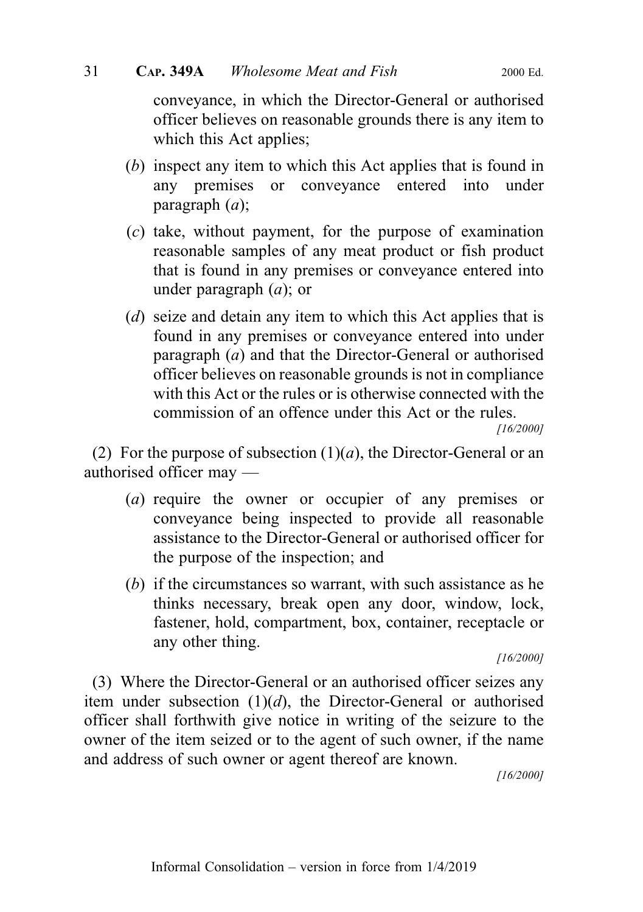conveyance, in which the Director-General or authorised officer believes on reasonable grounds there is any item to which this Act applies;

- (b) inspect any item to which this Act applies that is found in any premises or conveyance entered into under paragraph  $(a)$ ;
- (c) take, without payment, for the purpose of examination reasonable samples of any meat product or fish product that is found in any premises or conveyance entered into under paragraph  $(a)$ ; or
- (d) seize and detain any item to which this Act applies that is found in any premises or conveyance entered into under paragraph  $(a)$  and that the Director-General or authorised officer believes on reasonable grounds is not in compliance with this Act or the rules or is otherwise connected with the commission of an offence under this Act or the rules.

[16/2000]

(2) For the purpose of subsection  $(1)(a)$ , the Director-General or an authorised officer may —

- (a) require the owner or occupier of any premises or conveyance being inspected to provide all reasonable assistance to the Director-General or authorised officer for the purpose of the inspection; and
- (b) if the circumstances so warrant, with such assistance as he thinks necessary, break open any door, window, lock, fastener, hold, compartment, box, container, receptacle or any other thing.

[16/2000]

(3) Where the Director-General or an authorised officer seizes any item under subsection  $(1)(d)$ , the Director-General or authorised officer shall forthwith give notice in writing of the seizure to the owner of the item seized or to the agent of such owner, if the name and address of such owner or agent thereof are known.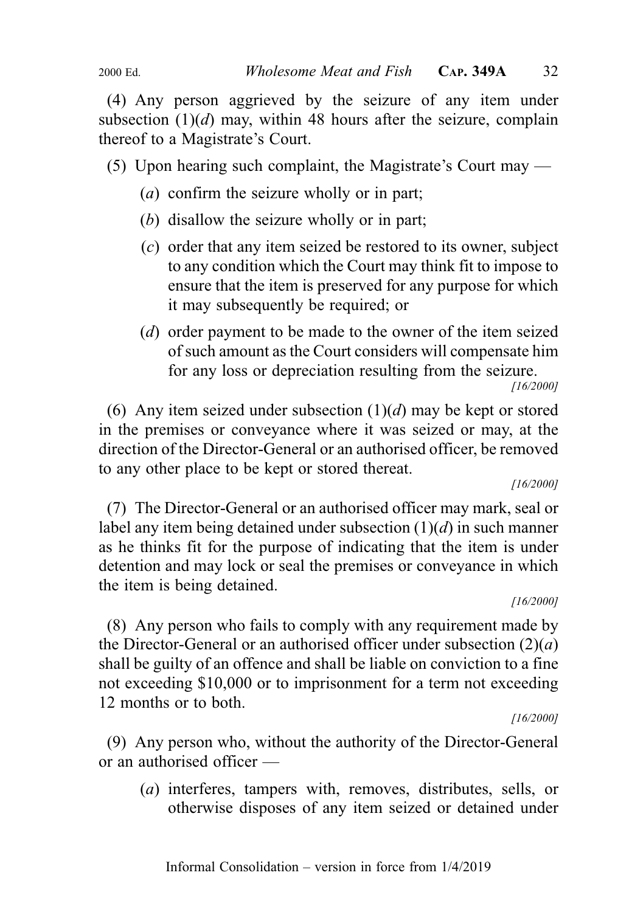(4) Any person aggrieved by the seizure of any item under subsection  $(1)(d)$  may, within 48 hours after the seizure, complain thereof to a Magistrate's Court.

(5) Upon hearing such complaint, the Magistrate's Court may —

- (a) confirm the seizure wholly or in part;
- (b) disallow the seizure wholly or in part;
- (c) order that any item seized be restored to its owner, subject to any condition which the Court may think fit to impose to ensure that the item is preserved for any purpose for which it may subsequently be required; or
- (d) order payment to be made to the owner of the item seized of such amount as the Court considers will compensate him for any loss or depreciation resulting from the seizure.

(6) Any item seized under subsection  $(1)(d)$  may be kept or stored in the premises or conveyance where it was seized or may, at the direction of the Director-General or an authorised officer, be removed to any other place to be kept or stored thereat.

[16/2000]

(7) The Director-General or an authorised officer may mark, seal or label any item being detained under subsection  $(1)(d)$  in such manner as he thinks fit for the purpose of indicating that the item is under detention and may lock or seal the premises or conveyance in which the item is being detained.

[16/2000]

(8) Any person who fails to comply with any requirement made by the Director-General or an authorised officer under subsection  $(2)(a)$ shall be guilty of an offence and shall be liable on conviction to a fine not exceeding \$10,000 or to imprisonment for a term not exceeding 12 months or to both.

[16/2000]

(9) Any person who, without the authority of the Director-General or an authorised officer —

(a) interferes, tampers with, removes, distributes, sells, or otherwise disposes of any item seized or detained under

<sup>[16/2000]</sup>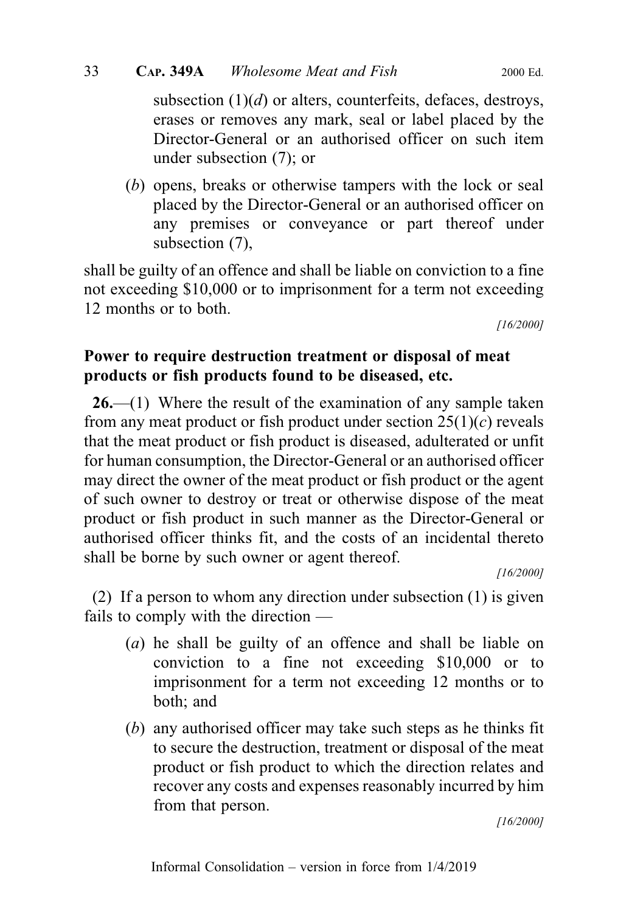subsection  $(1)(d)$  or alters, counterfeits, defaces, destroys, erases or removes any mark, seal or label placed by the Director-General or an authorised officer on such item under subsection (7); or

(b) opens, breaks or otherwise tampers with the lock or seal placed by the Director-General or an authorised officer on any premises or conveyance or part thereof under subsection (7),

shall be guilty of an offence and shall be liable on conviction to a fine not exceeding \$10,000 or to imprisonment for a term not exceeding 12 months or to both.

[16/2000]

## Power to require destruction treatment or disposal of meat products or fish products found to be diseased, etc.

 $26$ —(1) Where the result of the examination of any sample taken from any meat product or fish product under section  $25(1)(c)$  reveals that the meat product or fish product is diseased, adulterated or unfit for human consumption, the Director-General or an authorised officer may direct the owner of the meat product or fish product or the agent of such owner to destroy or treat or otherwise dispose of the meat product or fish product in such manner as the Director-General or authorised officer thinks fit, and the costs of an incidental thereto shall be borne by such owner or agent thereof.

[16/2000]

(2) If a person to whom any direction under subsection (1) is given fails to comply with the direction —

- (a) he shall be guilty of an offence and shall be liable on conviction to a fine not exceeding \$10,000 or to imprisonment for a term not exceeding 12 months or to both; and
- (b) any authorised officer may take such steps as he thinks fit to secure the destruction, treatment or disposal of the meat product or fish product to which the direction relates and recover any costs and expenses reasonably incurred by him from that person.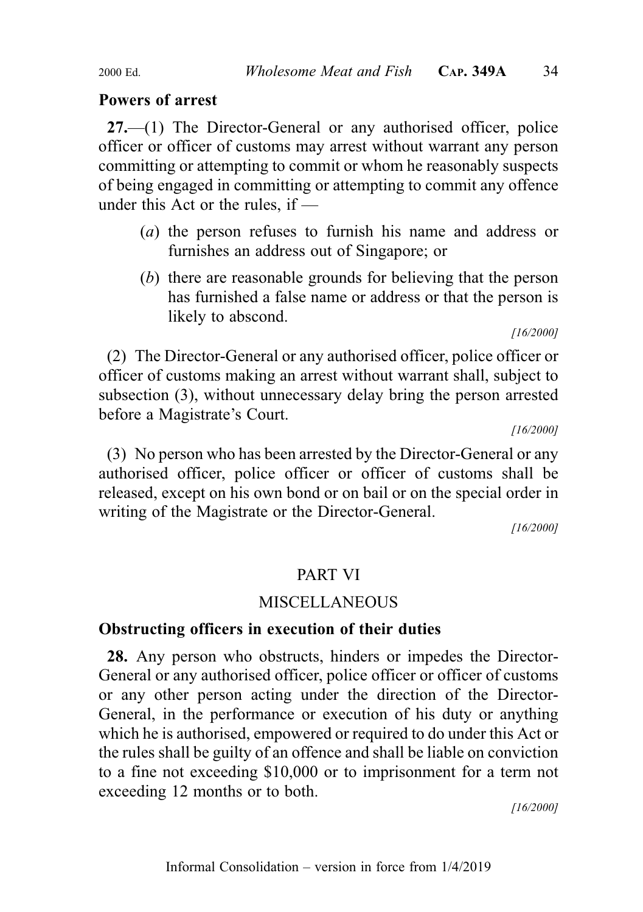### Powers of arrest

27.—(1) The Director-General or any authorised officer, police officer or officer of customs may arrest without warrant any person committing or attempting to commit or whom he reasonably suspects of being engaged in committing or attempting to commit any offence under this Act or the rules, if —

- (a) the person refuses to furnish his name and address or furnishes an address out of Singapore; or
- (b) there are reasonable grounds for believing that the person has furnished a false name or address or that the person is likely to abscond.

[16/2000]

(2) The Director-General or any authorised officer, police officer or officer of customs making an arrest without warrant shall, subject to subsection (3), without unnecessary delay bring the person arrested before a Magistrate's Court.

[16/2000]

(3) No person who has been arrested by the Director-General or any authorised officer, police officer or officer of customs shall be released, except on his own bond or on bail or on the special order in writing of the Magistrate or the Director-General.

[16/2000]

## PART VI

## **MISCELLANEOUS**

#### Obstructing officers in execution of their duties

28. Any person who obstructs, hinders or impedes the Director-General or any authorised officer, police officer or officer of customs or any other person acting under the direction of the Director-General, in the performance or execution of his duty or anything which he is authorised, empowered or required to do under this Act or the rules shall be guilty of an offence and shall be liable on conviction to a fine not exceeding \$10,000 or to imprisonment for a term not exceeding 12 months or to both.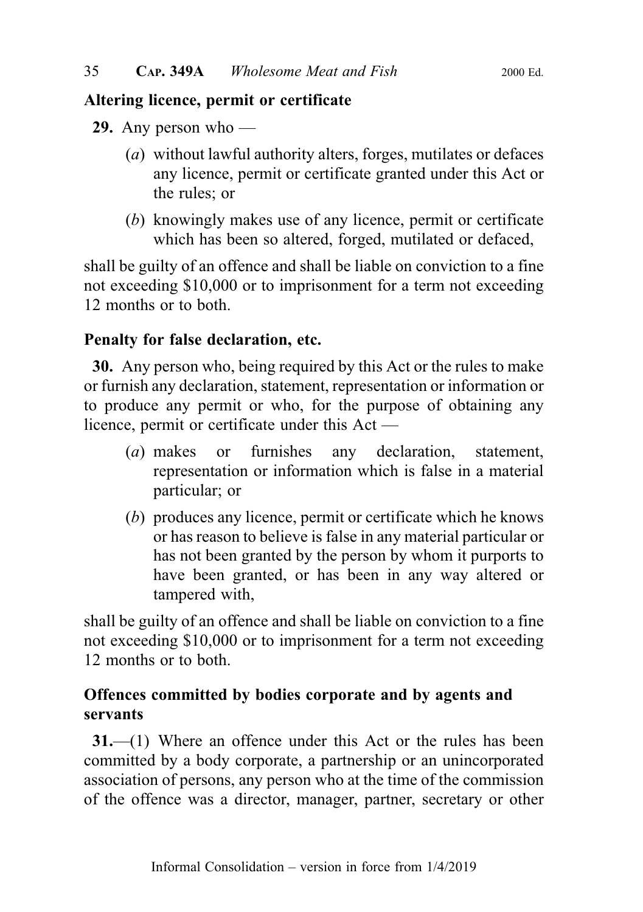## Altering licence, permit or certificate

29. Any person who —

- (a) without lawful authority alters, forges, mutilates or defaces any licence, permit or certificate granted under this Act or the rules; or
- (b) knowingly makes use of any licence, permit or certificate which has been so altered, forged, mutilated or defaced,

shall be guilty of an offence and shall be liable on conviction to a fine not exceeding \$10,000 or to imprisonment for a term not exceeding 12 months or to both.

## Penalty for false declaration, etc.

30. Any person who, being required by this Act or the rules to make or furnish any declaration, statement, representation or information or to produce any permit or who, for the purpose of obtaining any licence, permit or certificate under this Act —

- (a) makes or furnishes any declaration, statement, representation or information which is false in a material particular; or
- (b) produces any licence, permit or certificate which he knows or has reason to believe is false in any material particular or has not been granted by the person by whom it purports to have been granted, or has been in any way altered or tampered with,

shall be guilty of an offence and shall be liable on conviction to a fine not exceeding \$10,000 or to imprisonment for a term not exceeding 12 months or to both.

## Offences committed by bodies corporate and by agents and servants

31.—(1) Where an offence under this Act or the rules has been committed by a body corporate, a partnership or an unincorporated association of persons, any person who at the time of the commission of the offence was a director, manager, partner, secretary or other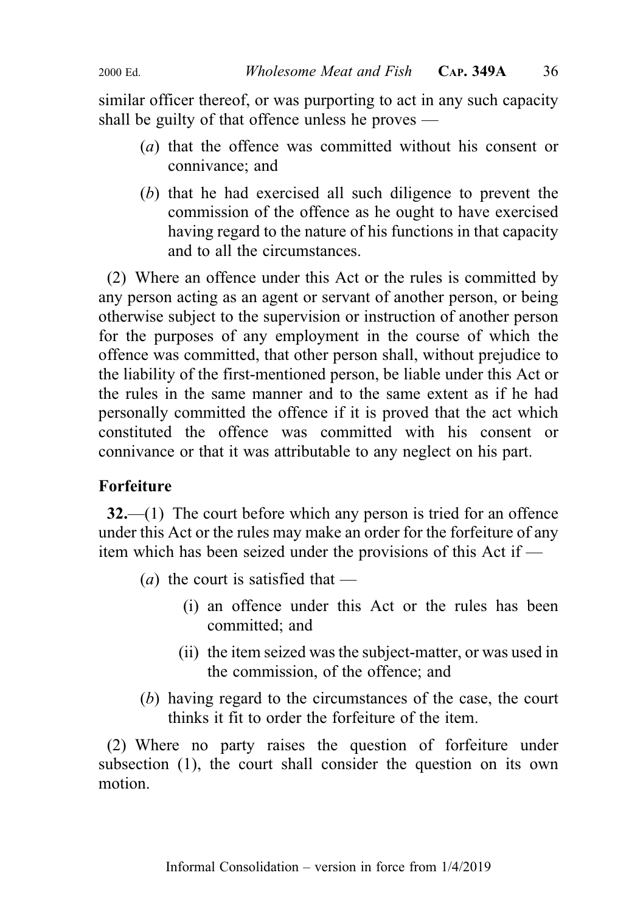similar officer thereof, or was purporting to act in any such capacity shall be guilty of that offence unless he proves —

- (a) that the offence was committed without his consent or connivance; and
- (b) that he had exercised all such diligence to prevent the commission of the offence as he ought to have exercised having regard to the nature of his functions in that capacity and to all the circumstances.

(2) Where an offence under this Act or the rules is committed by any person acting as an agent or servant of another person, or being otherwise subject to the supervision or instruction of another person for the purposes of any employment in the course of which the offence was committed, that other person shall, without prejudice to the liability of the first-mentioned person, be liable under this Act or the rules in the same manner and to the same extent as if he had personally committed the offence if it is proved that the act which constituted the offence was committed with his consent or connivance or that it was attributable to any neglect on his part.

## Forfeiture

32.—(1) The court before which any person is tried for an offence under this Act or the rules may make an order for the forfeiture of any item which has been seized under the provisions of this Act if —

- (*a*) the court is satisfied that
	- (i) an offence under this Act or the rules has been committed; and
	- (ii) the item seized was the subject-matter, or was used in the commission, of the offence; and
- (b) having regard to the circumstances of the case, the court thinks it fit to order the forfeiture of the item.

(2) Where no party raises the question of forfeiture under subsection (1), the court shall consider the question on its own motion.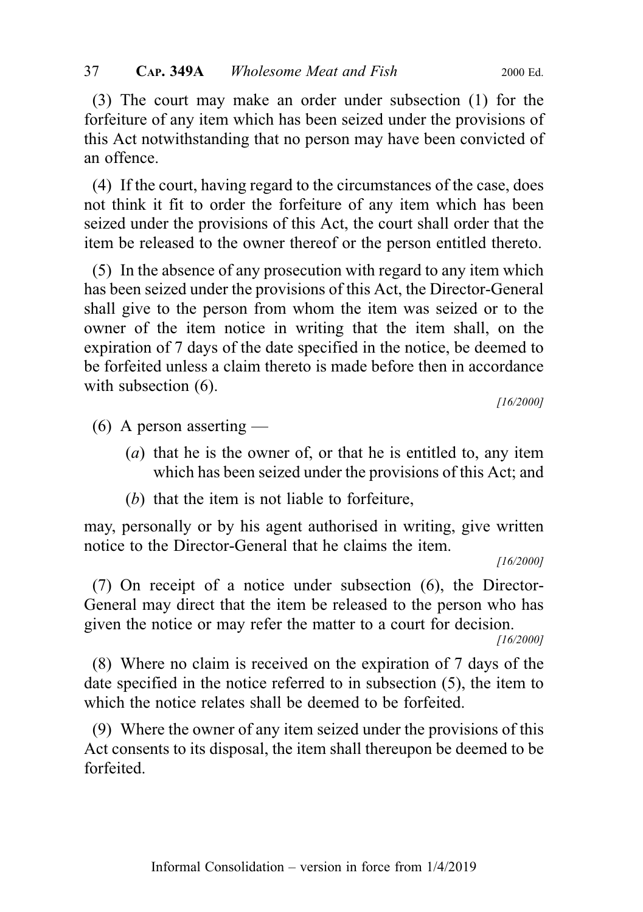(3) The court may make an order under subsection (1) for the forfeiture of any item which has been seized under the provisions of this Act notwithstanding that no person may have been convicted of an offence.

(4) If the court, having regard to the circumstances of the case, does not think it fit to order the forfeiture of any item which has been seized under the provisions of this Act, the court shall order that the item be released to the owner thereof or the person entitled thereto.

(5) In the absence of any prosecution with regard to any item which has been seized under the provisions of this Act, the Director-General shall give to the person from whom the item was seized or to the owner of the item notice in writing that the item shall, on the expiration of 7 days of the date specified in the notice, be deemed to be forfeited unless a claim thereto is made before then in accordance with subsection  $(6)$ .

[16/2000]

 $(6)$  A person asserting —

- $(a)$  that he is the owner of, or that he is entitled to, any item which has been seized under the provisions of this Act; and
- (b) that the item is not liable to forfeiture,

may, personally or by his agent authorised in writing, give written notice to the Director-General that he claims the item.

[16/2000]

(7) On receipt of a notice under subsection (6), the Director-General may direct that the item be released to the person who has given the notice or may refer the matter to a court for decision.

[16/2000]

(8) Where no claim is received on the expiration of 7 days of the date specified in the notice referred to in subsection (5), the item to which the notice relates shall be deemed to be forfeited.

(9) Where the owner of any item seized under the provisions of this Act consents to its disposal, the item shall thereupon be deemed to be forfeited.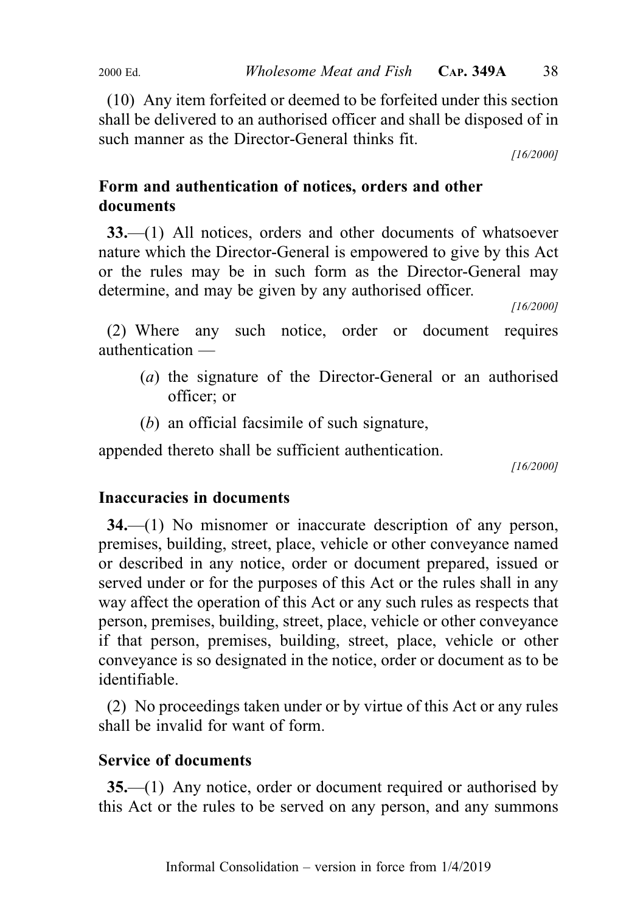(10) Any item forfeited or deemed to be forfeited under this section shall be delivered to an authorised officer and shall be disposed of in such manner as the Director-General thinks fit.

[16/2000]

## Form and authentication of notices, orders and other documents

33.—(1) All notices, orders and other documents of whatsoever nature which the Director-General is empowered to give by this Act or the rules may be in such form as the Director-General may determine, and may be given by any authorised officer.

[16/2000]

(2) Where any such notice, order or document requires authentication —

- (a) the signature of the Director-General or an authorised officer; or
- (b) an official facsimile of such signature,

appended thereto shall be sufficient authentication.

[16/2000]

## Inaccuracies in documents

34.—(1) No misnomer or inaccurate description of any person, premises, building, street, place, vehicle or other conveyance named or described in any notice, order or document prepared, issued or served under or for the purposes of this Act or the rules shall in any way affect the operation of this Act or any such rules as respects that person, premises, building, street, place, vehicle or other conveyance if that person, premises, building, street, place, vehicle or other conveyance is so designated in the notice, order or document as to be identifiable.

(2) No proceedings taken under or by virtue of this Act or any rules shall be invalid for want of form.

## Service of documents

35.—(1) Any notice, order or document required or authorised by this Act or the rules to be served on any person, and any summons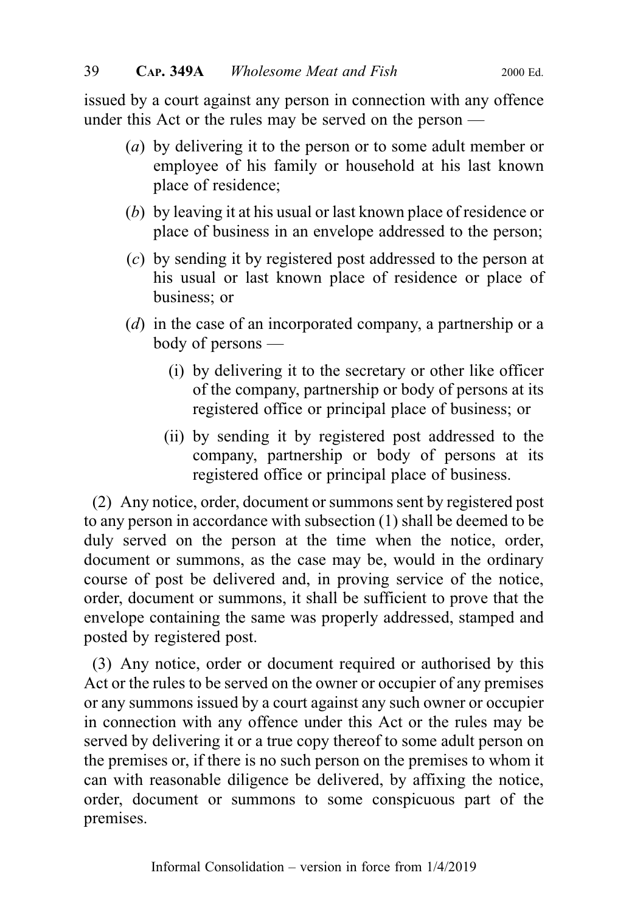issued by a court against any person in connection with any offence under this Act or the rules may be served on the person —

- (a) by delivering it to the person or to some adult member or employee of his family or household at his last known place of residence;
- (b) by leaving it at his usual or last known place of residence or place of business in an envelope addressed to the person;
- (c) by sending it by registered post addressed to the person at his usual or last known place of residence or place of business; or
- (d) in the case of an incorporated company, a partnership or a body of persons —
	- (i) by delivering it to the secretary or other like officer of the company, partnership or body of persons at its registered office or principal place of business; or
	- (ii) by sending it by registered post addressed to the company, partnership or body of persons at its registered office or principal place of business.

(2) Any notice, order, document or summons sent by registered post to any person in accordance with subsection (1) shall be deemed to be duly served on the person at the time when the notice, order, document or summons, as the case may be, would in the ordinary course of post be delivered and, in proving service of the notice, order, document or summons, it shall be sufficient to prove that the envelope containing the same was properly addressed, stamped and posted by registered post.

(3) Any notice, order or document required or authorised by this Act or the rules to be served on the owner or occupier of any premises or any summons issued by a court against any such owner or occupier in connection with any offence under this Act or the rules may be served by delivering it or a true copy thereof to some adult person on the premises or, if there is no such person on the premises to whom it can with reasonable diligence be delivered, by affixing the notice, order, document or summons to some conspicuous part of the premises.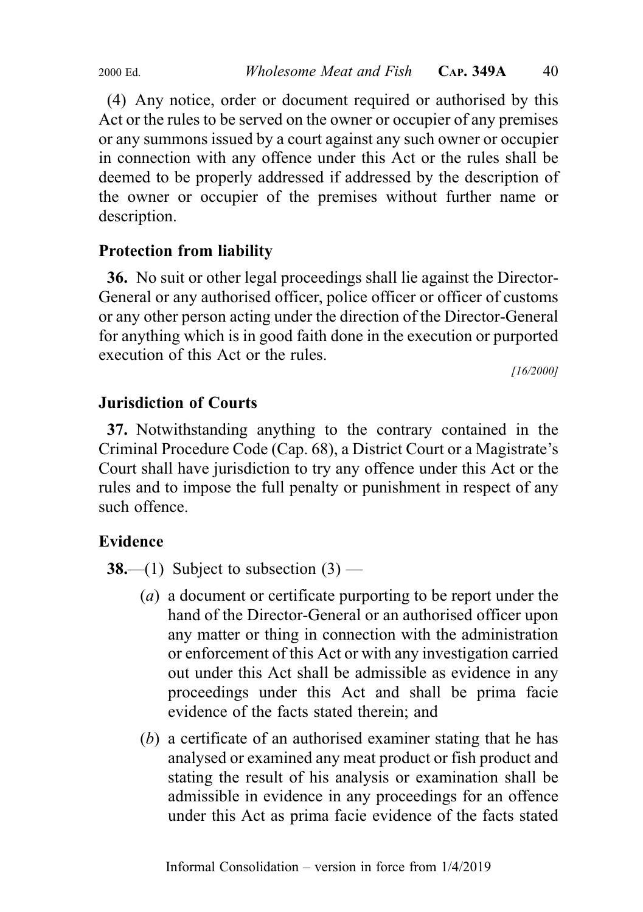(4) Any notice, order or document required or authorised by this Act or the rules to be served on the owner or occupier of any premises or any summons issued by a court against any such owner or occupier in connection with any offence under this Act or the rules shall be deemed to be properly addressed if addressed by the description of the owner or occupier of the premises without further name or description.

## Protection from liability

36. No suit or other legal proceedings shall lie against the Director-General or any authorised officer, police officer or officer of customs or any other person acting under the direction of the Director-General for anything which is in good faith done in the execution or purported execution of this Act or the rules.

[16/2000]

## Jurisdiction of Courts

37. Notwithstanding anything to the contrary contained in the Criminal Procedure Code (Cap. 68), a District Court or a Magistrate's Court shall have jurisdiction to try any offence under this Act or the rules and to impose the full penalty or punishment in respect of any such offence.

## Evidence

**38.**—(1) Subject to subsection  $(3)$  —

- (a) a document or certificate purporting to be report under the hand of the Director-General or an authorised officer upon any matter or thing in connection with the administration or enforcement of this Act or with any investigation carried out under this Act shall be admissible as evidence in any proceedings under this Act and shall be prima facie evidence of the facts stated therein; and
- (b) a certificate of an authorised examiner stating that he has analysed or examined any meat product or fish product and stating the result of his analysis or examination shall be admissible in evidence in any proceedings for an offence under this Act as prima facie evidence of the facts stated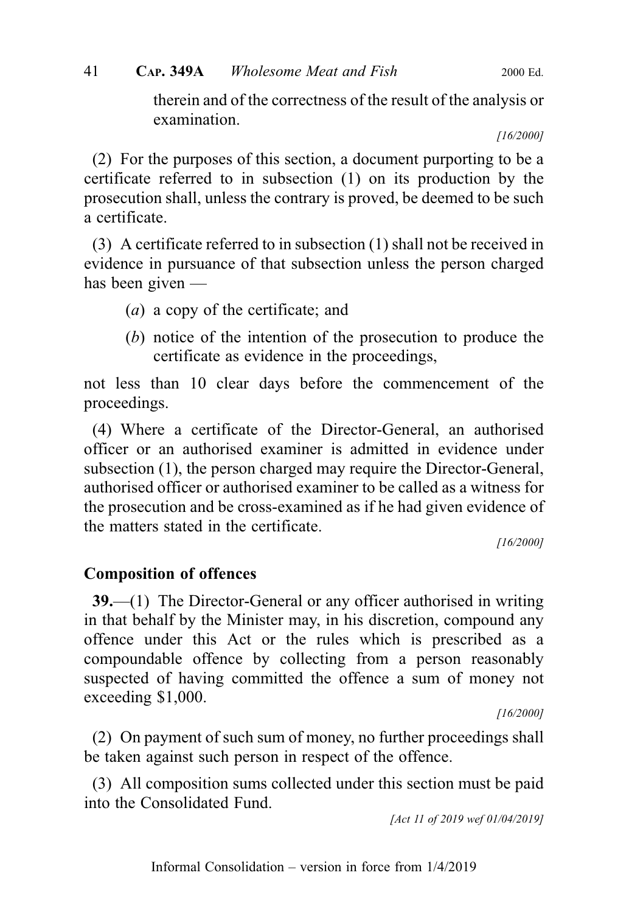therein and of the correctness of the result of the analysis or examination.

[16/2000]

(2) For the purposes of this section, a document purporting to be a certificate referred to in subsection (1) on its production by the prosecution shall, unless the contrary is proved, be deemed to be such a certificate.

(3) A certificate referred to in subsection (1) shall not be received in evidence in pursuance of that subsection unless the person charged has been given —

- (a) a copy of the certificate; and
- (b) notice of the intention of the prosecution to produce the certificate as evidence in the proceedings,

not less than 10 clear days before the commencement of the proceedings.

(4) Where a certificate of the Director-General, an authorised officer or an authorised examiner is admitted in evidence under subsection (1), the person charged may require the Director-General, authorised officer or authorised examiner to be called as a witness for the prosecution and be cross-examined as if he had given evidence of the matters stated in the certificate.

[16/2000]

## Composition of offences

39.—(1) The Director-General or any officer authorised in writing in that behalf by the Minister may, in his discretion, compound any offence under this Act or the rules which is prescribed as a compoundable offence by collecting from a person reasonably suspected of having committed the offence a sum of money not exceeding \$1,000.

[16/2000]

(2) On payment of such sum of money, no further proceedings shall be taken against such person in respect of the offence.

(3) All composition sums collected under this section must be paid into the Consolidated Fund.

[Act 11 of 2019 wef 01/04/2019]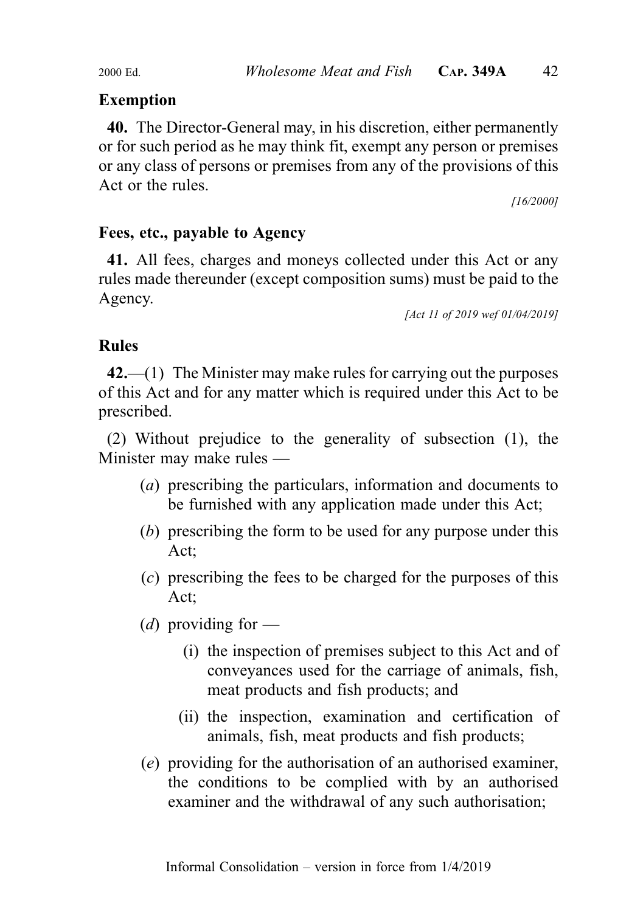## Exemption

40. The Director-General may, in his discretion, either permanently or for such period as he may think fit, exempt any person or premises or any class of persons or premises from any of the provisions of this Act or the rules.

[16/2000]

## Fees, etc., payable to Agency

41. All fees, charges and moneys collected under this Act or any rules made thereunder (except composition sums) must be paid to the Agency.

[Act 11 of 2019 wef 01/04/2019]

## Rules

 $42$ ,—(1) The Minister may make rules for carrying out the purposes of this Act and for any matter which is required under this Act to be prescribed.

(2) Without prejudice to the generality of subsection (1), the Minister may make rules —

- (a) prescribing the particulars, information and documents to be furnished with any application made under this Act;
- (b) prescribing the form to be used for any purpose under this Act;
- (c) prescribing the fees to be charged for the purposes of this Act;
- (*d*) providing for
	- (i) the inspection of premises subject to this Act and of conveyances used for the carriage of animals, fish, meat products and fish products; and
	- (ii) the inspection, examination and certification of animals, fish, meat products and fish products;
- (e) providing for the authorisation of an authorised examiner, the conditions to be complied with by an authorised examiner and the withdrawal of any such authorisation;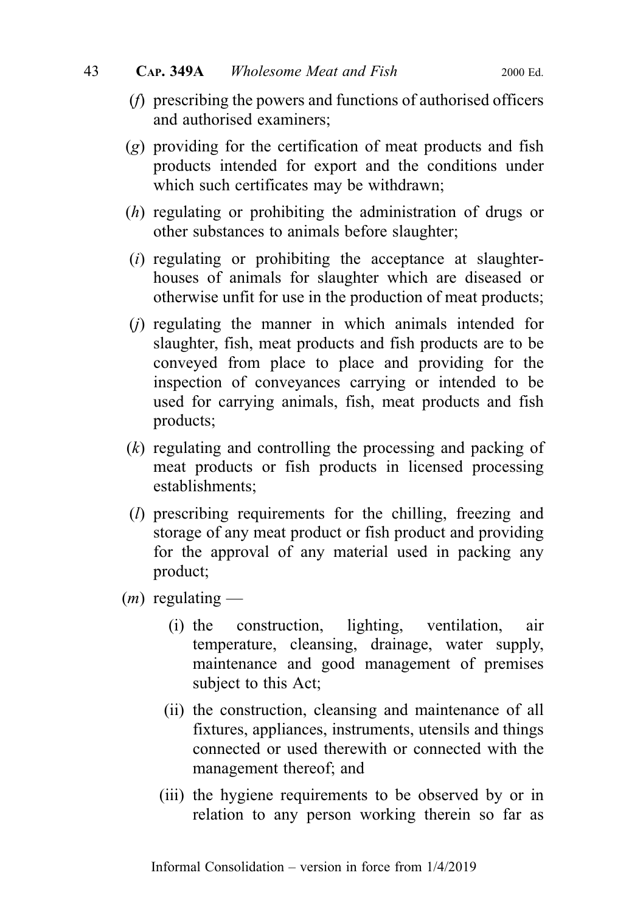- (f) prescribing the powers and functions of authorised officers and authorised examiners;
- (g) providing for the certification of meat products and fish products intended for export and the conditions under which such certificates may be withdrawn;
- (h) regulating or prohibiting the administration of drugs or other substances to animals before slaughter;
- $(i)$  regulating or prohibiting the acceptance at slaughterhouses of animals for slaughter which are diseased or otherwise unfit for use in the production of meat products;
- $(i)$  regulating the manner in which animals intended for slaughter, fish, meat products and fish products are to be conveyed from place to place and providing for the inspection of conveyances carrying or intended to be used for carrying animals, fish, meat products and fish products;
- (k) regulating and controlling the processing and packing of meat products or fish products in licensed processing establishments;
- (l) prescribing requirements for the chilling, freezing and storage of any meat product or fish product and providing for the approval of any material used in packing any product;
- $(m)$  regulating
	- (i) the construction, lighting, ventilation, air temperature, cleansing, drainage, water supply, maintenance and good management of premises subject to this Act;
	- (ii) the construction, cleansing and maintenance of all fixtures, appliances, instruments, utensils and things connected or used therewith or connected with the management thereof; and
	- (iii) the hygiene requirements to be observed by or in relation to any person working therein so far as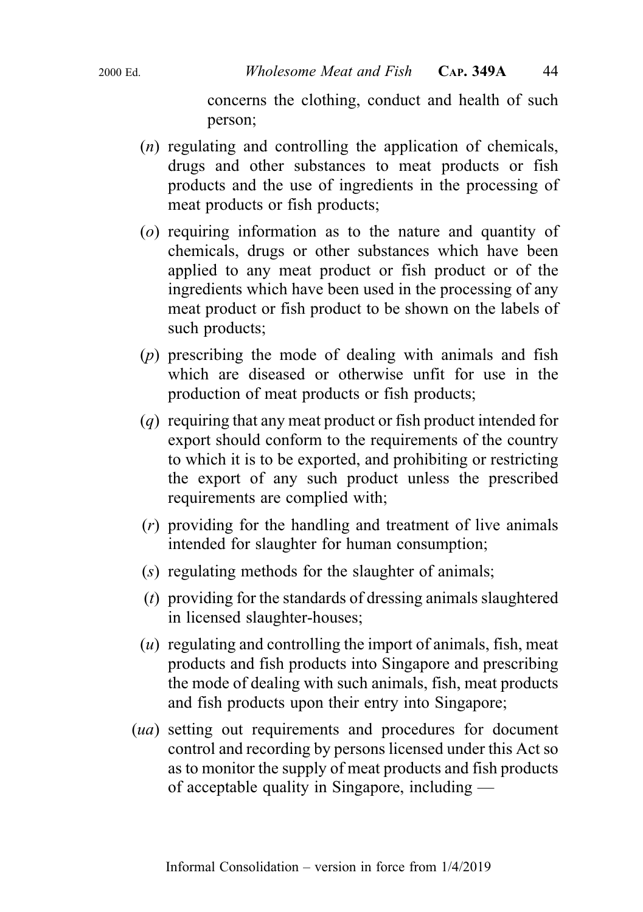concerns the clothing, conduct and health of such person;

- (n) regulating and controlling the application of chemicals, drugs and other substances to meat products or fish products and the use of ingredients in the processing of meat products or fish products;
- (o) requiring information as to the nature and quantity of chemicals, drugs or other substances which have been applied to any meat product or fish product or of the ingredients which have been used in the processing of any meat product or fish product to be shown on the labels of such products;
- (p) prescribing the mode of dealing with animals and fish which are diseased or otherwise unfit for use in the production of meat products or fish products;
- (q) requiring that any meat product or fish product intended for export should conform to the requirements of the country to which it is to be exported, and prohibiting or restricting the export of any such product unless the prescribed requirements are complied with;
- (r) providing for the handling and treatment of live animals intended for slaughter for human consumption;
- (s) regulating methods for the slaughter of animals;
- (t) providing for the standards of dressing animals slaughtered in licensed slaughter-houses;
- $(u)$  regulating and controlling the import of animals, fish, meat products and fish products into Singapore and prescribing the mode of dealing with such animals, fish, meat products and fish products upon their entry into Singapore;
- (ua) setting out requirements and procedures for document control and recording by persons licensed under this Act so as to monitor the supply of meat products and fish products of acceptable quality in Singapore, including —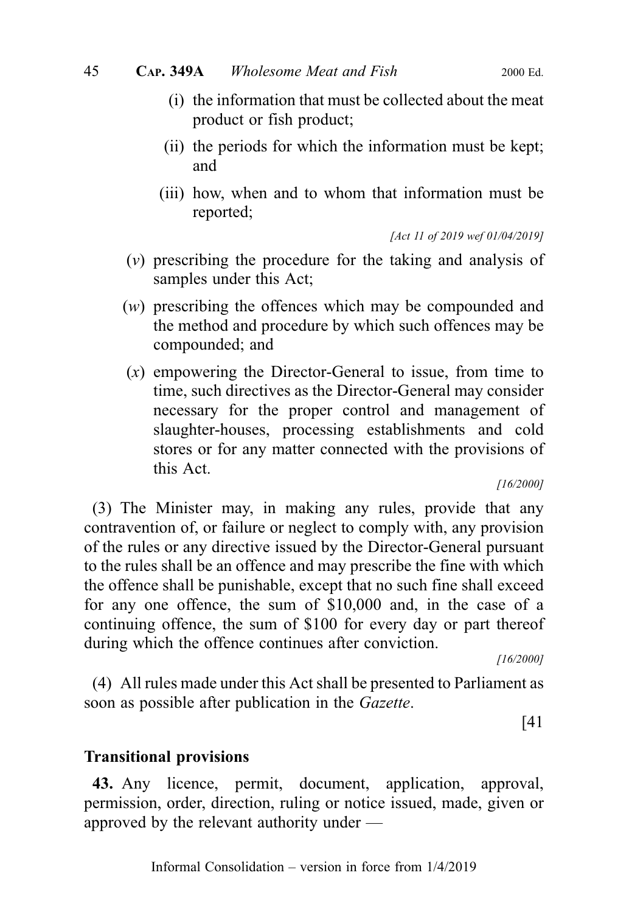- (i) the information that must be collected about the meat product or fish product;
- (ii) the periods for which the information must be kept; and
- (iii) how, when and to whom that information must be reported;

[Act 11 of 2019 wef 01/04/2019]

- (v) prescribing the procedure for the taking and analysis of samples under this Act;
- (w) prescribing the offences which may be compounded and the method and procedure by which such offences may be compounded; and
- $(x)$  empowering the Director-General to issue, from time to time, such directives as the Director-General may consider necessary for the proper control and management of slaughter-houses, processing establishments and cold stores or for any matter connected with the provisions of this Act.

[16/2000]

(3) The Minister may, in making any rules, provide that any contravention of, or failure or neglect to comply with, any provision of the rules or any directive issued by the Director-General pursuant to the rules shall be an offence and may prescribe the fine with which the offence shall be punishable, except that no such fine shall exceed for any one offence, the sum of \$10,000 and, in the case of a continuing offence, the sum of \$100 for every day or part thereof during which the offence continues after conviction.

[16/2000]

(4) All rules made under this Act shall be presented to Parliament as soon as possible after publication in the Gazette.

[41

#### Transitional provisions

43. Any licence, permit, document, application, approval, permission, order, direction, ruling or notice issued, made, given or approved by the relevant authority under —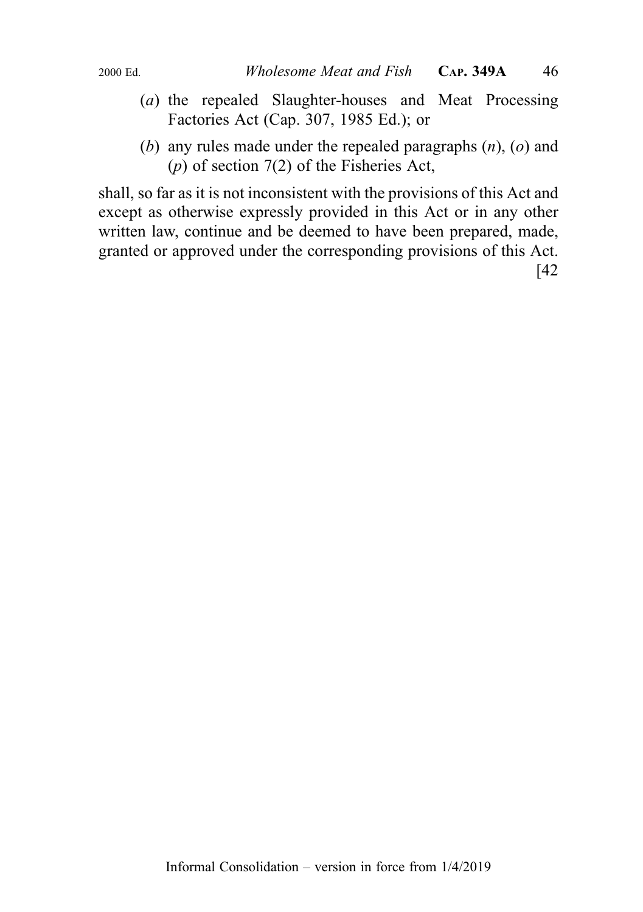- (a) the repealed Slaughter-houses and Meat Processing Factories Act (Cap. 307, 1985 Ed.); or
- (b) any rules made under the repealed paragraphs  $(n)$ ,  $(o)$  and  $(p)$  of section 7(2) of the Fisheries Act,

shall, so far as it is not inconsistent with the provisions of this Act and except as otherwise expressly provided in this Act or in any other written law, continue and be deemed to have been prepared, made, granted or approved under the corresponding provisions of this Act. [42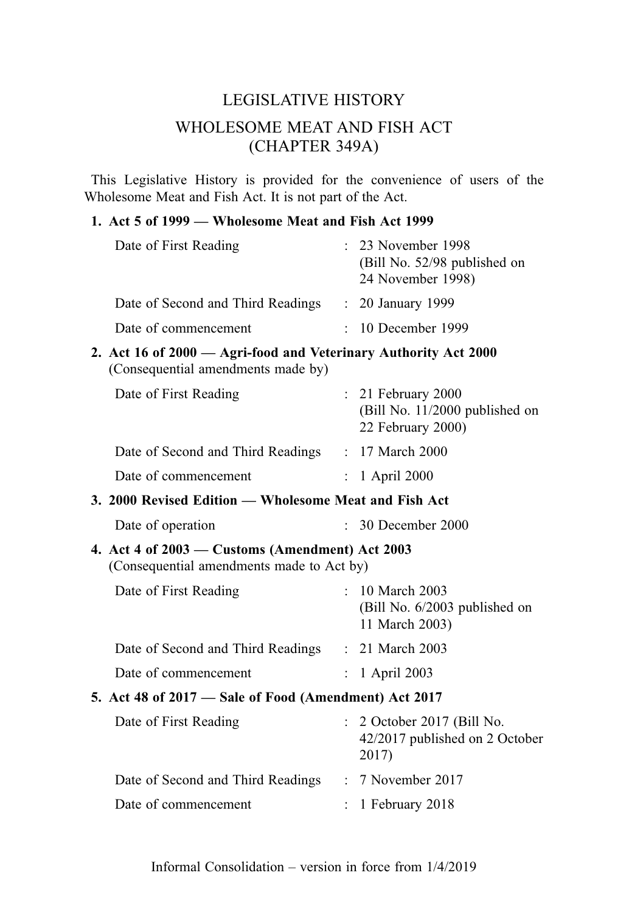## LEGISLATIVE HISTORY WHOLESOME MEAT AND FISH ACT (CHAPTER 349A)

This Legislative History is provided for the convenience of users of the Wholesome Meat and Fish Act. It is not part of the Act.

#### 1. Act 5 of 1999 — Wholesome Meat and Fish Act 1999

| Date of First Reading             | : 23 November 1998<br>(Bill No. 52/98 published on<br>24 November 1998) |
|-----------------------------------|-------------------------------------------------------------------------|
| Date of Second and Third Readings | $\therefore$ 20 January 1999                                            |
| Date of commencement              | $\therefore$ 10 December 1999                                           |

2. Act 16 of 2000 — Agri-food and Veterinary Authority Act 2000 (Consequential amendments made by)

| Date of First Reading             | $: 21$ February 2000<br>(Bill No. 11/2000 published on<br>22 February 2000) |
|-----------------------------------|-----------------------------------------------------------------------------|
| Date of Second and Third Readings | : 17 March 2000                                                             |
| Date of commencement              | $: 1$ April 2000                                                            |

3. 2000 Revised Edition — Wholesome Meat and Fish Act

| Date of operation | 30 December 2000 |
|-------------------|------------------|
|-------------------|------------------|

#### 4. Act 4 of 2003 — Customs (Amendment) Act 2003 (Consequential amendments made to Act by)

| Date of First Reading             | $: 10$ March 2003<br>(Bill No. 6/2003 published on<br>11 March 2003) |
|-----------------------------------|----------------------------------------------------------------------|
| Date of Second and Third Readings | $: 21$ March 2003                                                    |
| Date of commencement              | $\therefore$ 1 April 2003                                            |

#### 5. Act 48 of 2017 — Sale of Food (Amendment) Act 2017

| Date of First Reading             | $\therefore$ 2 October 2017 (Bill No.<br>42/2017 published on 2 October<br>2017) |
|-----------------------------------|----------------------------------------------------------------------------------|
| Date of Second and Third Readings | $: 7$ November 2017                                                              |
| Date of commencement              | $\therefore$ 1 February 2018                                                     |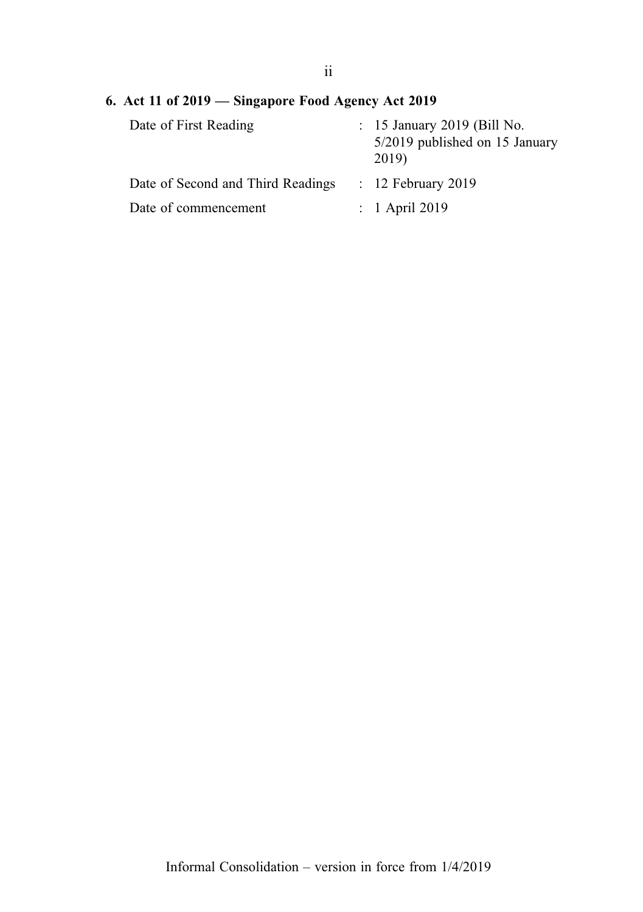## 6. Act 11 of 2019 — Singapore Food Agency Act 2019

| Date of First Reading             | : 15 January 2019 (Bill No.<br>5/2019 published on 15 January<br>2019) |
|-----------------------------------|------------------------------------------------------------------------|
| Date of Second and Third Readings | $: 12$ February 2019                                                   |
| Date of commencement              | $: 1$ April 2019                                                       |